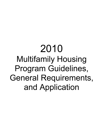2010 **Multifamily Housing** Program Guidelines, General Requirements, and Application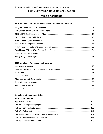# **2010 MULTIFAMILY HOUSING APPLICATION**

# **TABLE OF CONTENTS**

## 2010 Multifamily Program Guidelines and General Requirements:

## 2010 Multifamily Application Instructions:

## **Submission Requirement Tabs:**

## **General Information**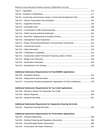## PENNSYLVANIA HOUSING FINANCE AGENCY (2010 APPLICATION)

| Tab #7 - Appraisals                                                    |      |
|------------------------------------------------------------------------|------|
|                                                                        |      |
| Tab #9 - Community and Economic Impact / Community Revitalization Plan |      |
| Tab #10 - Historic Preservation Documentation                          |      |
| Tab #11 - Supportive Services.                                         |      |
| Tab #12 - Accessible Units.                                            |      |
|                                                                        |      |
| Tab #14 - Public Housing Authority Notification                        | .201 |
| Tab #15 - Rent Roll / Displacement of Existing Tenants                 | .202 |
| Tab #16 - Development Team Experience.                                 | .203 |
| Tab #17 - Phase I Environmental Review / Environmental Test Results.   |      |
| Tab #18 - Commercial Income.                                           | .222 |
| Tab #19 - Utility Information                                          | .223 |
| Tab #20 - Certification of Subsidies                                   | .224 |
| Tab #21 - Construction and/or Permanent Financing Letters of Intent.   | 226  |
| Tab #22 - Bridge Loan Financing                                        | .228 |
| Tab #23 - Syndication Information                                      |      |
| Tab #24 - Development Cost Savings                                     |      |

# **Additional Submission Requirements for PennHOMES Applications**

| Tab #25 - Acquisition Notices.                                            |  |
|---------------------------------------------------------------------------|--|
| Tab #26 - Displacement and Relocation                                     |  |
| Tab #27 - Community Housing Development Organization (CHDO) Certification |  |

# **Additional Submission Requirements for Tax Credit Applications**

| Tab #29 - Waiver Requests      |  |  |  |
|--------------------------------|--|--|--|
| Tab #30 - Nonprofit Set-Aside. |  |  |  |

# **Additional Submission Requirement for Supportive Housing Set-Aside**

## **Additional Submission Requirements for Preservation Applications**

| Tab #32 - Financial Statements                        |  |
|-------------------------------------------------------|--|
| Tab #33 - Existing Financing and Regulatory Documents |  |
| Tab #34 - Physical/Capital Needs Assessment           |  |
| Tab #35 - Preservation Set-Aside Preference           |  |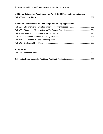| <b>Additional Submission Requirement for PennHOMES Preservation Applications</b> |
|----------------------------------------------------------------------------------|
| Tab #36 – Assumed Debt.                                                          |

# **Additional Requirements for Tax Exempt Volume Cap Applications**

| Tab #37 - Statement of Qualification under Request for Proposals |  |
|------------------------------------------------------------------|--|
| Tab #38 - Statement of Qualification for Tax Exempt Financing    |  |
| Tab #39 - Statement of Qualification for Tax Credits             |  |
| Tab #40 - Letter Outlining Bond Financing Strategies             |  |
| Tab #41 - Qualification of Bond Financing Team                   |  |
| Tab #42 - Evidence of Bond Rating                                |  |

# **All Applicants**

|--|--|--|

|--|--|--|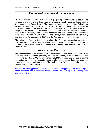# **PROGRAM GUIDELINES - INTRODUCTION**

The Pennsylvania Housing Finance Agency ("Agency") provides funding resources to increase and preserve affordable multifamily housing rental properties throughout the Commonwealth of Pennsylvania. The Agency is the administrator of the Federal Low Income Housing Tax Credit Program ("Tax Credits"). It also provides loans for construction financing, taxable and tax exempt bond financed primary mortgages, equity bridge loan financing, and soft second financing. Soft second financing is through the PennHOMES Program, which includes resources from the Federal HOME Investment Partnerships Program ("HOME") through the Pennsylvania Department of Community and Economic Development ("DCED") and the Agency's unrestricted reserves.

The following Program Guidelines explain the Agency's processing procedures, development requirements, and the various funding programs that may be accessed by completing the Agency's Application and other submission requirements as explained in the Instructions.

# **APPLICATION PROCESS**

For a development to be considered for a reservation of Tax Credits or a PennHOMES loan, the entire Application package, including all Exhibits, must be received by the Agency no later than **3:00 p.m. on February 26, 2010.** If applicants are duplicating the Application for use on their computer systems, information must be duplicated exactly as it appears on the original Application. The Application or Exhibits may not be submitted to the Agency by fax or e-mail.

Additionally, it is suggested that prior to submission of an application for PHFA program funds, applicants should check the Agency website, [www.phfa.org](http://www.phfa.org) for program updates and amendments.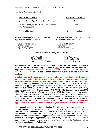Additional Applications for funding:

| <b>APPLICATION TYPE</b>                                             | <b>CYCLE ALLOCATION</b>                     |
|---------------------------------------------------------------------|---------------------------------------------|
| Volume Cap for Tax Exempt Bond Financing                            | Open                                        |
| Taxable Bonds, 501(c)(3) Tax Exempt Bonds<br>and Construction Loans | Open                                        |
| <b>Equity Bridge Loans</b>                                          | <b>Based on Availability</b>                |
| All PHFA loan applicants direct completed                           | Tax Credit only applicants direct completed |

Applications and/or inquiries to: Applications and/or inquiries to:

 Development Division Tax Credit Program 717.780.3876 717.780.3948 TTY 717.780.1869 TTY 717.780.1869

## Pennsylvania Housing Finance Agency

U. S. Postal Deliveries: Hand Deliveries: PO Box 8029 211 North Front Street Harrisburg, PA 17105-8029 Harrisburg, PA 17101

Applicants requesting **PennHOMES, Tax Credits, Bridge Loan Financing or Volume Cap for Tax Exempt Financing** must submit **TWO hard copies and one electronic copy** of the completed Application with the required Exhibits, along with an Application Fee, to the Agency. All hard copies of the Application must be submitted in three-ring binders. The contract of the contract of the contract of the contract of the contract of the contract of the contract of the contract of the contract of the contract of the contract of the contract of the contract of the c

**Applications, hard copies and electronic copies must be identical and must be tabbed numerically using the Application Checklist. All electronic copies should be submitted on a CD with each tab as individual files.** The format for all electronic files should be any version of Microsoft Word, Microsoft Excelor a .PDF file. Pictures must be in a .jpg or .gif format and optimized to a size of less than 50 kb. Most digital cameras automatically save images at 640 x 480 pixels or greater resulting in a very large file size and image. Please reduce (CROP/OPTIMIZE) the image by at least 50% (320 x 240 pixels or less). We may accept up to 100 kb if the image has a great amount of detail. **Note:** To avoid loss of detail, set the resolution to the highest setting when you crop the picture. Publisher or any digital camera image viewing software will NOT be accepted. **DO NOT PASSWORD PROTECT ANY OF THE FILES CONTAINED IN THE ELECTRONIC COPY OF YOUR APPLICATION. Failure to submit the application in the above format may result in your Application being returned.**

Any material omission from the Application Checklist, particularly the omission of site control, Market Study/Housing Needs Assessment, or verification of funding sources may result in an immediate rejection of the Application. Any omissions, inaccuracies, and inconsistencies in the Application package will not qualify the Application for bonus points for the Completeness of Application set forth in the Selection Criteria. When accepted as a complete Application, Agency staff may conduct a site inspection and if the development appears feasible and meets all Agency criteria, the Application will be evaluated based upon the Selection Criteria.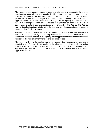The Agency encourages applicants to keep to a minimum any changes to the original development proposal that was submitted. All revisions including, but not limited to, changes in location, development design, per unit construction cost, financial projections, as well as any changes in information used in ranking for Feasibility Study approval and/or Tax Credit reservation are subject to the Agency's approval and the Agency may charge additional processing fees or require resubmission to the Board. If the change is material and unacceptable, as determined by the Agency, the Agency may, in its sole discretion, withdraw the development from loan commitment processing and/or the Tax Credit reservation.

Failure to provide information requested by the Agency, failure to meet deadlines or time frames imposed by the Agency, or any misrepresentation or nondisclosure of any information or data submitted to the Agency by the applicant may result in the immediate rejection of the Application for financing and forfeiture of fees.

The Agency will notify the applicant if, for any reason, the Application for financing is rejected by the Agency. If the Application is rejected, the applicant shall pay and/or reimburse the Agency for any and all fees and costs incurred by the Agency in the Application process, including, but not limited to, the Application fee, market study, appraisal costs, etc.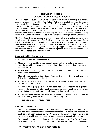# **Tax Credit Program General Overview Requirements**

The Low-Income Housing Tax Credit Program ("Tax Credit Program") is a federal program created by the 1986 Tax Reform Act and amended pursuant to several subsequent Budget Reconciliation Acts. The Pennsylvania Housing Finance Agency ("Agency") is the Commonwealth agency responsible for the administration of the Tax Credit Program. The purpose of the Tax Credit Program is to assist in the creation and preservation of affordable housing for low-income households. The Allocation Plan containing the criteria to be used in distributing the Tax Credits based upon the housing needs of the Commonwealth is located in the Multifamily Housing Program Guidelines.

The Tax Credit Program makes available to owners of and investors in low-income rental housing developments a Tax Credit which is a dollar-for-dollar reduction of their federal tax liability. The Tax Credit may be taken for a 10 year period provided that the development remains in compliance with the Tax Credit Program. All information and summaries are provided as a general overview only. Applicants must consult their own tax advisors and may be required to provide opinions from qualified professionals regarding any aspect of their development.

## **Property Eligibility Requirements**

- Be located within the Commonwealth.
- Make all units available to the general public and allow units to be occupied in accordance with all federal, state, and local laws, including fair housing and accessibility laws.
- Be suitable for occupancy and comply with all applicable federal, state, and local building and health codes.
- Meet all requirements of the Internal Revenue Code (the "Code") and applicable federal laws relating to rental housing.
- Provide a permanent, decent, safe, and sanitary structure for year round residential use on a non-transient basis.
- Be located in a geographic area which does not have competing developments, including developments with rental assistance contracts resulting in an undue concentration of rent-restricted or market rate units in a specific location.
- Provide new units, substantially improve the quality of or preserve existing units, or preserve existing federally assisted/subsidized housing units.
- Address a demonstrated housing need.

## **Non-Transient Housing**

The building may not be used for transient housing. A tenancy is considered to be transient if the initial lease term is less than six months. An exception is provided for qualified single room occupancy ("SRO") housing which permits housing units to be rented on a monthly basis provided the unit is not used to house the homeless.

Transitional housing for the homeless is eligible under the Tax Credit Program providing the following criteria are met: the facility is used to promote independent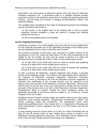living within a 24 month period as defined by Section 103 of the Stuart B. McKinney Homeless Assistance Act; a government entity or a qualified nonprofit provides supportive services to the tenants to assist them in locating and retaining permanent housing; and the living unit consists of sleeping accommodations, kitchen, and bathroom facilities.

The "qualified basis" (as defined in the Code) of transitional housing for the homeless may be increased by the lesser of:

(1) that portion of the eligible basis of the building that is used to provide supportive services designed to assist the tenants in locating and retaining permanent housing, or

(2) 20% of the qualified basis of the building.

### **Income Targeting Restrictions**

Individuals occupying a Tax Credit qualified unit must meet the income qualifications for their particular household size at the applicable percentage of the median gross income established for the county in which the unit is located.

The minimum set-asides of low-income units necessary to qualify a portion of the development for the Tax Credits are listed below. For the entire development to be eligible for the Tax Credits, all units must be rented to tenants at or below the specified minimum set-aside rate of 50% or 60% of area median gross income.

(1) At least 20% of the rental units must be rented to tenants with qualifying income at or below 50% of area median gross income, or

(2) At least 40% of the rental units must be rented to tenants with qualifying income at or below 60% of area median gross income.

In order to process the Application, program applicants must choose a set-aside election at the Application stage. The minimum set-aside election will be reflected in the Indenture of Restrictive Covenants Agreement ("Restrictive Covenants Agreement") which is executed at the time the Allocation Carryover Agreement is executed. Any modification to the set-aside election must be approved by the Agency prior to the execution of the Restrictive Covenants Agreement. Owners have until the close of the first year of the Tax Credit period to comply with the minimum set-aside of low-income units as set forth in their Restrictive Covenants Agreement. Developments failing to maintain, through the entire compliance period, the applicable percentage of low-income units are subject to, at a minimum, a partial recapture of the Tax Credits.

Qualifying income of tenants includes wages and salaries, alimony and child support payments, social security payments, unemployment compensation, welfare, and income producing assets and investments. The development owner, when determining qualifying income, must comply with U. S. Department of Housing and Urban Development ("HUD") regulations set forth in 24 CFR Section 813.106 (as amended).

A chart showing maximum income levels, by county, for various household sizes at both 50 and 60 percent levels of area median gross income is located in the Multifamily Housing Application Instructions. (This information will be updated from time to time and may change during the processing of an Application.)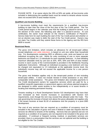PLEASE NOTE: If an owner elects the 20% at 50% set aside, all low-income units included in determining the qualified basis must be rented to tenants whose income does not exceed 50% of area median income.

### **Qualified Low-Income Building**

A low-income building must meet the requirements for a qualified, low-income building no later than the close of the first year of the Tax Credit period. The Tax Credit period begins in the calendar year that the building is placed-in-service, or at the election of the owner, the following year after it is placed-in-service. At cost certification, the owner must indicate on the Owner's Certification of Placed-In-Service Date form for each building the start of the Tax Credit period and whether or not an election was made to defer the start of the Tax Credit period. Owners may not claim Tax Credits until they submit these forms to the Agency and the IRS form 8609 is issued.

### **Restricted Rents**

The gross rent limitation, which includes an allowance for all tenant-paid utilities except telephone and cable television, is based on unit size rather than household size. For developments containing SRO or efficiency units, rents are based on one individual occupying the unit. Rents for units consisting of one or more separate bedrooms are based on 1.5 individuals for each separate bedroom. A chart detailing maximum allowable rents by unit size at 20%, 40%, 50% and 60% of area median income in each county of the Commonwealth is provided in the Multifamily Housing Application Instructions. Although an individual occupying a one bedroom unit may be charged rent equivalent to 1.5 individuals at the applicable income level, the individual's income may still not exceed the applicable income for a one person household.

The gross rent limitation applies only to the tenant-paid portion of rent including tenant-paid utilities. It does not include Section 8 rental assistance or any other comparable rental assistance. The gross rent limitation also excludes payments to Tax Credit development owners for supportive services which are paid for by a qualified nonprofit organization or government agencyand whose planned programs are designed to either assist tenants to live independently or to assist tenants in locating and retaining permanent housing.

Tenants residing in a Rural Development Section 515 development may have their rent increased as their income increases in accordance with Section 515 requirements, even though the rent may exceed that allowed under the Code. The rule governing the increase of tenant rent above the gross allowable rent applies only if the tenant receives at least \$1.00 of assistance and the property is a post-1990 development.

The cost of any services that are required as a condition of occupancy must be included in the calculation of gross rent even if federal or state law requires that the services be offered to tenants of the building. Services that are optional and are not required as a condition of occupancy are not required to be included in the gross rent calculation. If continual or frequent nursing, medical, or psychiatric services are provided, there is a presumption that the services are not optional and the building is not eligible for the Tax Credits.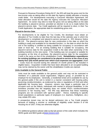Pursuant to Revenue Procedure Ruling 94-57, the IRS will treat the gross rent for the low-income units as taking effect on the date the Agency initially allocates a housing credit dollar. For developments executing a Carryover Allocation Agreement, the initial allocation would be the date the Agency executes the Carryover Allocation Agreement. An owner may elect to treat the gross rent as taking effect on the date the building is placed-in-service, provided an election to do so is made before the placed-in-service date. Tax Credit applicants will be required to elect, in their Tax Credit Application, the appropriate date for establishing gross rent.

## **Placed-In-Service Date**

For developments to be eligible for Tax Credits, the developer must obtain an allocation of Tax Credits no later than the last day of the calendar year in which the development is completed and placed-in-service pursuant to IRS Advance Notice 88-116. The placed-in-service date for new construction is the date on which the building is ready and available for its intended function, i.e. the date on which the first unit in the building is certified as being suitable for occupancy in accordance with state or local law. For an existing building that is suitable for occupancy, the placed-in-service date for the acquisition Credit is the date when ownership of the building transfers to the new owner. If the building was not occupied or suitable for occupancy at the time of purchase, the placed-in-service date for the acquisition Credit is the same as that of the rehabilitation Credit. **Rehabilitation expenditures for existing buildings are considered to be placed-in-service at the close of any twenty-four (24) month period over which such expenses are aggregated.** (Note - Costs must be incurred during the selected 24 month period to be included in eligible basis.) Acquisition Credits that have been allocated to an occupied building may not be claimed by the owner until the rehabilitation Credits are claimed.

## **Units Available to the General Public**

Units must be made available to the general public and may not be restricted to members of a particular social organization, religious group, or provided by an employer for its employees. Generally, a residential rental unit is available for use by the general public if the unit is rented in a manner consistent with housing policy governing nondiscrimination, as evidenced by rules or regulations of HUD and other applicable fair housing laws. However, owners may target a particular type of occupant such as the elderly, individuals with mental or physical disabilities, or the homeless provided that the targeting does not violate HUD's nondiscrimination provisions or fair housing laws. The IRS maydetermine that these marketing programs are not consistent with "general public". Hence, marketing to specific tenant populations or particular types of employers (i.e. teachers, firefighters, etc.) may violate IRS rules.

A prospective tenant may not be denied admission into a Tax Credit property because of holding a voucher or certificate of eligibility under Section 8 of the Housing Act of 1937; if they are otherwise eligible.

For additional guidance please refer to the full version of the code which includes the HERA guide and 8823 guide at [www.novoco.com](http://www.novoco.com) .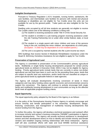### **Ineligible Developments**

Pursuant to Treasury Regulation 1.42-9, hospitals, nursing homes, sanitariums, life care facilities, and intermediate care facilities for persons with mental and physical handicaps or disabilities are not eligible for Tax Credits since the units are not available for use by the general public. Trailer parks are also ineligible for the Tax **Credits.** The contract of the contract of the contract of the contract of the contract of the contract of the contract of the contract of the contract of the contract of the contract of the contract of the contract of the

Dwelling units occupied by all full time students are generally not eligible to receive Tax Credits unless one of the following conditions is being met:

- (1)The student is receiving assistance under Title IV of the Social Security Act.
- (2)The student is enrolled in a job training program receiving assistance under the Job Training Partnership Act or under other similar federal, state, or local laws. The contract of the contract of the contract of the contract of the contract of the contract of the contract of the contract of the contract of the contract of the contract of the contract of the contract of the cont
- (3)The student is a single parent with minor children and none of the persons living in the unit, including the minor children, are dependents of a third party.<br>(Exception: A child may be dependent of a non-resident parent.)
- (4)The unit is occupied by married students who file a joint income tax return.

SRO buildings that receive Section 8 Moderate Rehabilitation Assistance under the Stuart B. McKinney Homeless Assistance Act are eligible to apply for Tax Credits.

### **Preservation of Agricultural Land**

The Agency is committed to preservation of the Commonwealth's primary agricultural lands. Multifamily or single family housing developments proposed for certain priority agricultural lands as defined in Executive Order 2003-2 may not be eligible for Agency funding. Priority agricultural lands include lands that are currently in active non-timber agricultural use and that have been in such use for the preceding three years, lands that are subject to specific land use restrictions, and/or lands that are classified as unique or prime agricultural lands by applicable federal or state agencies.

The Agency will evaluate developments involving conversion of lands in these categories and may deny funding unless specific economic and environmental concerns support the conversion. The Agency will continue to actively encourage both single family and multifamily housing development in rural communities as long as the affected lands meet all applicable program funding criteria.

## **Equal Opportunity**

The equal opportunity policy adopted by the Board of the Agency is as follows:

It is the policy of the Pennsylvania Housing Finance Agency to actively encourage and ensure minority and female participation in the ownership, development, design, financing, construction, and management of multifamily housing developments that receive funding from this Agency.

To further this policy, the Agency will develop a technical assistance and outreach effort to increase minority and women's business enterprise ("M/WBE") participation in Agency financed developments. The Agency will provide technical assistance to development owners and their development teams on how to identify and include minority and female vendors and establish ongoing working relationships with these enterprises. Agency staff will also coordinate efforts with state and local M/WBE technical assistance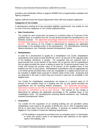providers and certification offices to apprise M/WBE firms of opportunities available from Agency programs.

Agency staff will review this Equal Opportunity Policy with loan program applicants.

## **Categories of Tax Credits**

A development meeting all of the preceding eligibility requirements may qualify for one or more of the five categories of Tax Credits explained below.

## **New Construction**

Tax Credits for new construction are based on a present value of 70 percent of the qualified basis of a building over the 10 year period provided the development is not federally assisted. The applicable percentage determined monthly by the IRS, for developments placed in service after 7/30/2008 and prior to 12/31/2013 is set at nine percent. The amount of Tax Credits is determined by applying the applicable percentage to the qualified basis of the development. For developments receiving federal assistance, see "Federally Assisted Developments" below.

## **Rehabilitation**

In order for a development to qualify for a rehabilitation Tax Credit, rehabilitation expenditures must equal at least \$3,000 per unit or 10 percent of the adjusted basis of the building, whichever is greater. For properties that are acquired from a governmental unit, at the election of the owner, the 10 percent rule for expenditures will not apply provided the owner is willing to waive the 70 percent present value Tax Credit and accept the present value of 30 percent of the qualified basis of the building over the 10 year period. Rehabilitation expenditures may be aggregated for a 24 month period provided these costs are chargeable to a capital account and can be included in eligible basis pursuant to Section 42(d) of the Code. Expenses that are deducted in the year in which they are incurred or paid are not includible in the eligible basis.

Tax Credits for rehabilitation expenditures are based on a present value of 70 percent of the qualified basis of a building over the 10 year period provided the expenditures are not receiving federal assistance. The applicable percentage, determined monthly by the IRS, for developments placed in service after 7/30/2008 and prior to 12/31/2013 is set at nine percent. The amount of Tax Credits is determined by applying the applicable percentage to the qualified basis of the rehabilitation costs. For developments receiving federal assistance, see "Federally Assisted Developments" below.

## **Acquisition**

Tax Credits for the acquisition of an existing building are not permitted unless rehabilitation costs equal to the greater of \$3,000 per unit or 10% of adjusted basis will be or have been incurred on the building. In general, an acquired building is eligible for Tax Credits if it meets the following requirements:

(1)The building is acquired by purchase from an unrelated party in a transaction in which the owner's basis is not determined with reference to the seller's basis in the building, and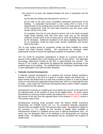- (2)A period of 10 years has elapsed between the time of acquisition and the later of: which is a set of the set of the set of the set of the set of the set of the set of the set of the set of the set of the set of the set of the set of the set of the set of the set of the set of the set of the set
	- (a) the date the building was last placed-in-service; or

(b) the date of the most recent unqualified substantial improvement of the building. A substantial improvement is one costing 25% or more of the adjusted basis of the building and incurred within a 24 month period. The cost of the improvement could not have been amortized over five years under Section 167(k) of the Code.

An exception from the 10 year placed-in-service rule is for owner-occupied single family dwelling units that have been used only as the principal residence of each owner in the 10 years prior to when the building is acquired by the developer. Additional exceptions to the above eligibility requirements for an acquisition Credit are listed under Section  $42(d)(2)(D)$  and Section 42(f) of the Code.

The 10 year holding period for acquisition credits has been modified for certain Federal and State assisted building. We recommend the developer seeks professional counsel to ensure the application qualifies for acquisition credits.

The Tax Credit for acquisition expenditures is based on a present value of 30 percent of the qualified basis of the building over the 10 year period. This applicable percentage, determined monthly by the IRS, is approximately four percent. The amount of Tax Credits is determined by applying the applicable percentage to the qualified basis of the building. The qualified basis of the building is determined after a value attributable to the land has been deducted.

## **Federally Assisted Developments**

A federally assisted development is a property that receives federal assistance, directly or indirectly, in the form of a grant or a below market rate federal loan. A below market rate federal loan is a loan that is funded in whole or in part by federal funds at a rate below the Applicable Federal Rate (the "AFR") as of the date the loan is made. Loans under the Community Development Block Grant ("CDBG") program are excluded from this category.

Developments receiving an outright grant must deduct the amount of the grant from the adjusted basis of the property to arrive at the eligible basis. An owner whose development is receiving a below market rate federal loan no longer needs to deduct the amount of the loan from the adjusted basis of the property in order to receive a 70% present value Credit.

Developments receiving funds provided under the federal HOME Investment Partnerships Act ("HOME funds") are now not considered federally subsidized, therefore they are eligible for the 70% present value credit. Developments subject to this provision are now eligible for the increase in eligible basis available to developments located in a qualified census tract or difficult development area. An owner may not designate which of the buildings in the development are receiving HOME funds. All buildings in the development will be considered the recipient of HOME funds.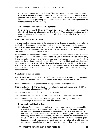A development underwritten with HOME funds or any federal funds as a loan at the AFR must provide a pro-forma which supports the development's ability to repay principal and interest. The pro-forma must be approved by both the financial institution (or entity providing the federal funds) and the Tax Credit syndicator (or entity purchasing the Tax Credits).

## **Tax Exempt Bond Financed Developments**

Refer to the Multifamily Housing Program Guidelines for information concerning the eligibility of these developments for Tax Credits. The pertinent sections are the Qualified Allocation Plan and the section entitled Volume Cap for Tax Exempt Bond Financing. The contract of the contract of the contract of the contract of the contract of the contract of the contract of the contract of the contract of the contract of the contract of the contract of the contract of the

## **Nonrecourse Debt and/or Grant**

A grant, whether state or local, to the development will cause a reduction to the eligible basis of the development unless the grant is recognized as income to the partnership. Any federal grant automatically reduces eligible basis. Owners that include grants in their Tax Credit Applications must either reduce their basis or provide documentation that allows these funds to remain in basis.

All applicants are expected to be thoroughly familiar with the "At Risk Rules" of Section 42(k) of the Code. If the applicant has indicated a type of financing such as related party financing, seller financing, or a nonprofit loan that might come under the At Risk Rule provision, the applicant must submit a certification as to why this type of financing is not in violation of the At Risk Rules. The certification must be provided by the owner, acknowledged by the investor, and must provide specific reference to the appropriate section of the Code or relevant accounting procedures permitting this type of financing to remain in basis.

## **Calculation of the Tax Credit**

After determining the type of Tax Credit(s) for the proposed development, the amount of Tax Credits can be determined by following a five step process as outlined below:

- Step 1 determine the eligible basis for the type of Tax Credit(s) requested;
- Step 2 determine whether the building is located in a qualified census tract ("QCT") or difficult development area ("DDA"); http://www.facture.com/difficult development area (
- Step 3 determine the applicable fraction of low-income units;
- Step 4 determine the qualified basis for the type of Tax Credit(s) requested; and
- Step 5 multiply the qualified basis of each type of Tax Credit by the applicable percentage to determine the Tax Credit amount.

## **Determination of Eligible Basis**

(1) Adjusted Basis. Amounts includible in adjusted basis are amounts chargeable to a capital account, of a nature subject to an allowance for depreciation, and incurred before the close of the first taxable year of the Tax Credit period for such building. For new construction and/or rehabilitation (considered the "new building ), these costs may include, but are not limited to: construction costs including on-site improvements, builder's general overhead, builder's profit, builder's general requirements, bond premium or letter of credit cost for assurance of completion, and building permits; architect design and supervision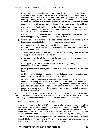fees; legal fees; accounting fees; engineering fees; construction loan interest; construction financing fees; real estate taxes; insurance during construction; and developer's fee. **Off-site improvements and building demolition costs of an existing building are not includible in basis**. Rehabilitation expenditures are incurred for a consecutive 24 month chosen by the owner. Only costs incurred during that 24 month period may be included in the eligible basis of the building.

Acquisition costs (attributable to the existing building) mayinclude, but are not limited to, structures, title and recording, and reasonable legal fees associated with the cost of acquiring the building.

Note: Any off-site improvements included in the eligible basis of the development must be supported by a Private Letter Ruling from the IRS.

(2) Eligible Basis. To determine eligible basis of the existing or new buildings from the adjusted basis, the following must be taken into consideration:

(a) If supportive services are being provided to the tenants, the costs associated with that portion of the new building that is being used to provide the services is limited to the lesser of:

- $\bullet$ such eligible basis of the new building that is actually used to provide supportive services to the tenants, or
- 20 percent of the eligible basis of the new building without regard to the  $\bullet$ portion providing the supportive services.

(b) If applying for the acquisition credit for an existing building, land must be deducted from the adjusted basis.

(c) All grants whether federal, state, or local must be deducted from the adjusted basis. And the contract of the contract of the contract of the contract of the contract of the contract of the

(d) Historic rehabilitation tax credits must be deducted from the adjusted basis prior to arriving at the eligible basis of the new building.

(e) Nonqualified non-recourse financing not obtained from a qualified commercial lender as defined by the "At Risk Rules" set forth in the Code must be deducted from basis. Non-recourse financing includes anyamount for which the owner is protected from loss. It also includes any amount that was borrowed from a person who has an interest in the property or from a person related to a person having an interest in the property.

A final determination of the property's eligible basis is made at the end of the first year of the Tax Credit period. This allows an owner to include in the eligible basis costs such as landscaping that may not be incurred until after the building is placed-in-service.

#### Increased Eligible Basis For High Cost Areas

A building located in a QCT or DDA may have its eligible basis, for purposes of the new construction credit or rehabilitation expenditures credit, increased to 130% of the eligible basis. Mere location does not automatically entitle a building to receive a higher amount of Tax Credit. The Agency will still determine the amount of Tax Credits needed to assure the development's feasibility and long term viability.

A QCT is a census tract designated by HUD either in which at least 50% of the households have an income that is 60% or less of the area median gross income for such year or that has a poverty rate of at least 25 percent.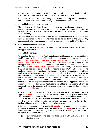A DDA is an area designated by HUD as having high construction, land, and utility costs relative to area median gross income and fair market rent levels.

A list of all QCTs and DDAs in Pennsylvania as determined by HUD is provided in the Application Instructions. (The list may be updated during processing.)

Applicable Fraction of Low-Income Units

The applicable fraction is the lesser of the percentage of low-income units to the total amount of residential units in the building ("unit fraction") or the percentage of lowincome units' floor space to the total floor space of all residential rental units ("floor space fraction"). The set of the set of the set of the set of the set of the set of the set of the set of the set of the set of the set of the set of the set of the set of the set of the set of the set of the set of the se

The applicable fraction is determined on the date of the allocation of Tax Credits and may not decrease during the compliance period as set forth in the Code. Any decrease in the low-income units will result in a partial recapture of the Tax Credits.

Determination of Qualified Basis

The qualified basis of the building is determined by multiplying the eligible basis by the applicable fraction.

Applicable Percentage

To calculate the amount of the Tax Credit, the applicable percentage is applied to the qualified basis of the building. The applicable percentage is determined monthly by the IRS. For developments which will be placed in service by 12/31/2013, the 70% present value credit is set at 9%. In processing an Application, the Agency will use the applicable acquisition percentage for the initial month of the processing cycle. As an example, the February 2010 Acquisition Credit Percentage, as published by the IRS, will be applied to developments competing in the 2010 deadline cycle. The applicable acquisition percentage established at the initial Application will be utilized until the owner and Agency have locked into the applicable Tax Credit percentage for the development. The owner may elect to either fix the applicable acquisition percentage when the Carryover Allocation Agreement is executed or to wait until the building is placed-in-service. However, the reservation amount is the maximum amount that the development may receive no matter what the applicable acquisition percentage rate is in the future. Applications for additional Tax Credits will only be accepted from a development with increased costs and not due to changes in the applicable acquisition percentage.

Pursuant to Section 42(b)(2)(A)(ii)(I) of the Code, the owner may elect to set the applicable acquisition percentage for the month in which a Carryover Allocation of Tax Credits is issued provided the document is executed by both the Owner and this Agency no later than the last business day of the month of the Carryover Allocation. A lock-in to an applicable acquisition percentage may result in a loss of Tax Credits if the locked-in rate is less than the rate at initial Application.

If the owner elects not to fix the applicable acquisition percentage for the month the Carryover Allocation is issued, then the applicable acquisition percentage will be determined the month the building is placed-in-service. A building is considered to be placed-in-service as follows:

(1) New Construction - the date the building is ready and available for its intended function.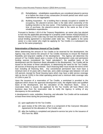- (2) Rehabilitation rehabilitation expenditures are considered placed-in-service at or before the close of any consecutive 24-month period over which such expenditures are aggregated.
- (3) Building Acquisition for a building that is already occupied or suitable for occupancy, the placed-in-service date is the date when ownership of the building transfers to the new owner. If the building was not occupied at the time of purchase, the placed-in-service date is the same as that of the rehabilitation expenditures.

Pursuant to Section 1.92-8 of the Treasury Regulations, an owner who has elected to lock into the applicable percentage for a property under Section 42(b)(2)(A)(ii)(I) or Section 42(e)(1) of the Code may not have the election rescinded whether or not the actual binding agreement is rescinded under state law. This applies to the same owner or a new owner who might be applying for Tax Credits in a subsequent tax year for the same property(s).

## **Determination of Maximum Amount of Tax Credits**

When determining the amount of Tax Credits to be reserved for the development, the Agency may only reserve the amount of Tax Credits necessary to ensure the financial feasibility and long-term viability of the development. The Agency will determine the amount of Tax Credits based upon a review of the development costs and permanent funding sources (considered the "need calculation"), the qualified basis of the development and the Maximum Basis allowable to the development. Tax Credits will be issued on the lesser of these calculations. In determining the need for the Tax Credits, all sources of financing are reviewed. Each financing letter must include the terms of the loan including all financing fees. Any conventional permanent loan must have a minimum term of 15 years with a fixed rate, and a debt coverage ratio between 115 and 125 percent, (except for Rural Housing loans which may have a debt service coverage ratio as low as 110%) in the initial operating period and a minimum debt coverage ratio of 110% in year 15.

Upon the issuance of a reservation of Tax Credits, a worksheet is provided to the applicant which shows the approved development costs, the eligible basis and qualified basis of the development, and the calculation of the Maximum Basis. Once a reservation letter is issued, the applicant for the Tax Credits will have fifteen (15) business days from the reservation date to notify the Agency in writing of any discrepancy on the worksheet.

A development's costs, subsidies, financing, and allocable Tax Credits will be evaluated at least three times during the processing period:

- (1) upon application for the Tax Credits;
- (2) upon review of the 10% test, which is a component of the Carryover Allocation Agreement for the allocation of Tax Credits; and
- (3) after the building is completed and placed-in-service but prior to the issuance of IRS Form No. 8609.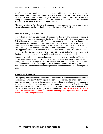Certifications of the applicant and documentation will be required to be submitted at each stage to allow the Agency to properly evaluate any changes to the development's initial Application. Any material change in the development's Application at any time during the process may result in a loss of Tax Credits, a recapture of the Tax Credits or a required submission of a new Tax Credit Application.

The determination of Tax Credits by the Agency is not a representation or warranty as to the development's feasibility, viability, or eligibility to claim Tax Credits.

### **Multiple Building Developments**

A development may include multiple buildings if it has similarly constructed units, is located on the same or contiguous tracts of land, is owned by the same person for federal income tax purposes, and is financed pursuant to a common plan of financing. A development with multiple buildings that is proposing a mixed income structure must have low-income units in each building of the development. The final applicable fraction of the building is determined at the time the building is deemed to be placed-in-service. The applicable fraction is reflected in the qualified basis on the IRS Form No. 8609 issued for that building at placement in service. Once determined, the applicable fraction will remain in place for the building for the entire compliance period.

Scattered site buildings on noncontiguous tracts of land may also qualify for Tax Credits if the development meets all of the other requirements described in the preceding paragraph and the development is 100 percent rent and income restricted; however, costs associated with the development of a separate community building will not be eligible for Tax Credits unless the building contains a residential rental non-management unit.

## **Compliance Procedures**

The Agency has established a procedure to notify the IRS of developments that are not in compliance with the Code throughout the compliance period. To ensure compliance, the Agency has compiled a Compliance Manual, which is available on the Agency s website and provided to owners who receive a carryover allocation of Tax Credits. For further details on the compliance monitoring procedures, refer to the Allocation Plan located in the Multifamily Housing Program Guidelines. Please also refer to the IRS Guide for completing form 8823, Low Income Housing Credit Agencies Report of Non compliance or Building Disposition.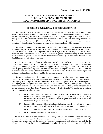# **PENNSYLVANIA HOUSING FINANCE AGENCY ALLOCATION PLAN FOR YEAR 2010 LOW INCOME HOUSING TAX CREDIT PROGRAM**

#### **PROCESSING OVERVIEW AND PROCEDURES FOR 2010**

The Pennsylvania Housing Finance Agency (the "Agency") administers the Federal Low Income Housing Tax Credit Program ("Tax Credit Program") in the Commonwealth of Pennsylvania. Pursuant to federal law governing the Tax Credit Program, each year, the Agency adopts a plan (the "Allocation Plan") outlining the allocation priorities and procedures to be followed in distributing Federal Low Income Housing Tax Credits ("Tax Credits") based on the housing needs of the Commonwealth. Adoption of the Allocation Plan requires approval by the Governor after a public hearing.

The Agency is adopting this Allocation Plan for 2010. This Allocation Plan is unusual because its adoption takes place at the end of 2009, an extraordinary year of unprecedented events and disruptions in the debt and equity markets. Among the events of the past year, the federal adoption of the American Recovery and Reinvestment Act of 2009 (the "stimulus programs") and the funding provided through these stimulus programs has fundamentally changed the way the Agency approaches funding of Tax Credit Projects and allocation of resources.

It is the Agency's goal that this 2010 Allocation Plan will become effective for applications received no later than February 26, 2010. However, as the Agency continues to administer funds available through the stimulus programs, including any supplemental stimulus opportunities,Tax Credit Projects able to quickly and effectively utilize these federal resources will be given priority in 2010. This means that the ranking and scoring set forth in the following sections of the Allocation Plan may be superceded and additional deadlines may be imposed for the foreseeable future.

The Agency will monitor the lending and investing opportunities and activities in the Commonwealth throughout 2010 and will determine how the markets are affecting all sectors of the Tax Credit Program. The Agency will attempt to make such adjustments to its policies and priorities as necessary to respond to the varying needs throughout the Commonwealth. While it isthe Agency's goal to "get back to normal" as soon as it is feasible to do so, until the markets normalize and provide reliable, consistent opportunities among all sectors of the Tax Credit Program, the Agency will allocate 2010 Tax Credits based on these overriding principles and preferences:

- 1.) Projects demonstrating an ability to proceed as determined by the Agency to maximize the benefits of the stimulus programs through the Tax Credit Program, while meeting reasonable cost parameters and achieving basic program standards as set forth in the
- 2.) Projects achieving geographic distribution and affording diversity of project type (general occupancy, elderly and special needs) to the extent the Agency determines appropriate.
- 3.) Projects allowing the Agency to achieve the federally mandated nonprofit set aside.
- 4.) Projects serving the lowest income residents.

In order to maximize the distribution of funding through the stimulus programs, and any supplemental stimulus opportunities, and to best achieve statewide goals for affordable housing, the Agency may change any of the deadlines, processing requirements and priorities set forth in the Allocation Plan. Given the current condition of the market, the Agency does not expect that all of the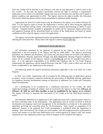2010 Tax Credits will be allocated in the February cycle and we may determine to reserve some of the Tax Credits. To that end, the Agency specifically reserves the right to announce a supplemental application cycle in 2010 to accommodate changes that may occur between now and then and to adjust to market conditions and opportunities in 2010. The Agency reserves the right to modify this Allocation Plan and all related documents without formal amendment or additional public hearings.

Applications for <sup>2010</sup> Tax Credit Projects may be submitted to the Agency on or before February 26, 2010. It is the Agency's intent to review the Applications it receives and to select among the Applicants based on the selection ranking criteria, with priority given to projects demonstrating an ability to move forward. Targeted amounts available in geographic set asides and for community impact, preservation and supportive housing will be determined based on reviews of the Applications and based on market conditions in effect when the Agency reviews the applications.

The Agency will provide supplemental policy and guideline announcements throughout the 2010 year affecting this Allocation Plan. Please refer to the Agency's website at [www.phfa.org](http://www.phfa.org).

#### **SUBMISSION REQUIREMENTS**

All information submitted by the applicant or gathered by the Agency in the review of the Application is the sole property of the Agency and may be made public. The Agency's processing procedures, fee schedules and limitations, and current rent and income limits are set forth in the Agency's 2010 Multifamily Housing Application Package and 2010 Multifamily Housing Program Guidelines, which will be available on the Agency's website at *[www.phfa.org](http://www.phfa.org)*, and may be amended from time to time.. It is the applicant's responsibility to be familiar and compliant with all Tax Credit Program requirements, the regulations, and the Internal Revenue Code (the "Code"), both in effect now and in the future, as applicable to any Application in this program.

The following details the general processing information applicable to the Year 2010 Tax Credit Program.

In 2010, Tax Credits Applications will be accepted for the following types of applications: general occupancy, senior occupancy, properties furthering the preservation of affordable housing, applications for supportive housing, developments seeking an allocation of additional Tax Credits and Community Impact developments.

For a development to be considered for a conditional reservation of Tax Credits, the entire Application package, including all exhibits, must be received by the Agency no later than **3:00 p.m. on February 26, 2010 (or such other deadline as may be established by the Agency on its website.)** The Agency will strive to announce the reservations of Tax Credits at its July 2010 Board meeting or earlier.

The entity(ies) identified as an applicant(s) in the Application must have a general partner interest in the final ownership entity of the development. The applicant(s) must be actively involved in both the development and ongoing control and management of the development as evidenced in the partnership agreement governing the ownership entity for the development. Sale, transfer or assignment of an applicant's interest in the proposed Tax Credit development is prohibited while the Application is pending. After reservation of Tax Credits, any such transfers, sales and assignments prior to placement in service and issuance of an IRS Form 8609 require prior written approval by Agency staff, may require submission of a new Application and/or may result in recapture of Tax Credits by the Agency.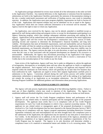An Application package submitted for review must include all of the information in the order set forth in the Application Checklist. Any material deficiency in the Application or omission from the mandatory submissions set forth in the Application Checklist, particularly the omission of documentation relating to the site, a market study/needs assessment and verification of funding sources, may result in immediate rejection. In addition, the Application must meet program eligibility requirements set forth in Section 42 of the Code. Applications and required exhibits may not be submitted via fax or email to the Agency. Any Application which does not contain sufficient information to be reviewed will be returned. The Agency reserves the right to reject or return any Application.

An Application, once received by the Agency, may not be altered, amended or modified except as approved by staff during underwriting and program review or except for developments participating in an Agency financing program, which may undergo subsequent substitute processing and ranking by the Agency. Applications will be ranked based only upon the information contained in the initial Application package. Agency staff will first review the development's construction costs, fees, sources of funds, operating income and expenses to determine the development s financial feasibility and long term viability. Developments that meet all threshold requirements, need and marketability and are financially feasible and viable will then be ranked according to the Selection Criteria. Applications that do not meet threshold requirements, are financially infeasible or that do not demonstrate long term viability may be returned at any time. The Agency reserves the right, in its sole discretion, to reject any Application in the event that the costs or fees associated with the proposed development are deemed to be excessive or unreasonable. Additionally, the Agency may discontinue processing of any Application if the Agency determines in its sole discretion that the development will not be able to receive a reservation of Tax

Credits due to the oversubscription of Tax Credits in any Set-Aside. Upon review of the Application, Agency staff may, but is under no obligation to, advise the applicant of incongruities, discrepancies or incomplete items and may allow the applicant to clarify or supplement the original submission. Such requests will be made in writing to the applicant and response will be required within the timeframe set forth therein, which will generally be no later than five business days from notification by staff. Applicants are urged to review their original Applications carefully prior to submission to the Agency. Corrections allowed during the staff review process will neither include replacement, substitution or amendment of material items used by staff in the ranking of an Application nor remedy the scoring of an Application as an incomplete submission. See the 2010 Multifamily Housing Program Guidelines for additional guidance and information about processing Applications.

#### **APPLICATION ELIGIBILITY CRITERIA**

The Agency will only process Applications meeting all of the following eligibility criteria. Failure to meet any of these eligibility criteria may result in rejection of the Application. The Agency has

established additional threshold eligibility criteria for each specific Set-Asides as further set forth herein. 1. Agency staff will review the Tax Credit Program compliance history and performance of the applicant (or any related entity or material participant) and the management agent of the proposed development. The applicant must certify that it is in compliance with all Tax Credit Program requirements for each Tax Credit development in which it has a material ownership interest. If the applicant (or any related entity) or management agent of the proposed development is currently involved in a Tax Credit development that has been reported to the Internal Revenue Service ("IRS") as being out of compliance with any Agency program requirement (including Restrictive Covenant Agreement violations) and said noncompliance has not been brought back into compliance prior to the submission of the Application, the Application may be rejected at any time prior to reservation of Tax Credits. In the alternative (or in addition, in the sole discretion of theAgency), attendance and satisfactory completion of an Agency-approved course in the compliance requirements of the Tax Credit Program may be required. The Agency in its sole discretion will determine whether a compliance issue is of a material or nonmaterial nature and whether it is of a recurring nature. Note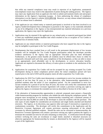that while any material compliance issue may result in rejection of an Application, nonmaterial noncompliance issues may result in the adjustment of points during the ranking process. The Agency may reject any Application from an applicant who fails to submit and maintain timely unit and project information on the Agency's Apartment Locator. A form authorizing the release of compliance information is on the Agency's website, [www.phfa.org](http://www.phfa.org). However, we may release related information even if no release form is submitted.

- 2. If the applicant (or any related entity or material participant) is involved or has been involved in an Agency funded development that is delinquent in payments to the Agency or has materially defaulted on any of its obligations to the Agency or has misrepresented any material information on a previous application, the Agency may reject the Application.
- 3. Applications may be returned if the applicant (or any related entity or material participant) has failed to meet any established program deadline date which resulted in loss or recapture of Tax Credits or
- potential loss of stimulus funds.<br>4. Applicants (or any related entities or material participants) who have unpaid fees due to the Agency may be ineligible to participate in the Tax Credit Program.
- 5. Developments that have resulted from or will result in the permanent displacement of low income residents will be ineligible for Tax Credit Program participation unless the developer provides evidence satisfactory to the Agency that an appropriate relocation plan has been developed. Furthermore, to the greatest extent feasible all residents must be offered their choice to either be temporarily relocated until such time, upon completion of the development, as they are able to return to an appropriately sized affordable unit in the development, or receive relocation benefits. Applicants are required to document the efficacy of notice given to residents to the satisfaction of the
- Agency. 6. Applications for acquisition Tax Credits will not be accepted for any existing occupied Tax Credit development during its initial compliance period unless the initial compliance period will have expired prior to the end of 2010 and the property meets all other acquisition Tax Credit rules.
- 7. Applications for 2010 Tax Credits must demonstrate a commitment to serve low income residents for a period of not less than 30 years or, in the alternative, offer homeownership opportunities to qualified residents after the initial 15 year compliance period. For the commitment to serve low income residents for a period of not less than 30 years, the owner will certify this commitment in the Application and the Restrictive Covenant Agreement will contain a provision waiving any right to petition the Agency to terminate the extended use term (as described in Section 42 of the Code.)

If the alternative of homeownership opportunities is selected, proposals must present a financially viable homeownership program for residents who inhabit the units during the compliance period. The program must incorporate an exit strategy, homeownership counseling and a minimum amount of funds (not less than \$1,000) set aside by the developer to assist the residents with the purchase. The only types of units eligible for consideration are townhouse and single family attached and detached structures. The Agency, in its discretion, may approve other unit types if structured as cooperative or condominium ownership. The developer will certify this commitment in the Application and the Restrictive Covenant Agreement will contain provisions ensuring enforcement of the related covenants by affected qualified residents. Should the units not be converted to homeownership, the Restrictive Covenant Agreement will contain a provision waiving any right to petition the Agency to terminate the extended use term for all units remaining as rental units. A certification from the design architect verifying the units are townhouse or single family attached or detached structures (or otherwise appropriate for homeownership by tenants as determined by the Agency) will be required as part of the Application.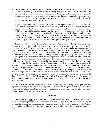- 8. The development team must have sufficient experience, as determined in the sole discretion of the Agency, to effectively own, design, construct, manage and operate a Tax Credit development. The development team members include the applicants, architects, general contractor, attorney, and the management agent. As appropriate, the experience of a housing consultant (including their ability to secure equity investment) or a housing management consultant may be considered in lieu of the
- applicant or management agent, respectively.<br>9. Applications must demonstrate that the housing needs of local public housing waiting lists have been met. Applicants may meet this requirement by providing either: (1) a current letter from the local public housing authority stating how the development is specifically meeting the housing needs of residents on the public housing waiting list; (2) a copy of the comprehensive plan outlining the current local public housing authority waiting list and evidence that the development will meet such resident needs; or (3) evidence of receipt of mailing to the local public housing authority prior to the date of the Tax Credit application a letter which evidences the commitment of the developer to work cooperatively to meet the needs of persons on the local public housing waiting list.

In addition to the above threshold eligibility criteria, the Agency reserves the right to take any action it deems appropriate if the applicant (or any related entity), proposed management agent, or other material participant has been found to be in violation of fair housing, housing accessibility or nondiscrimination laws or has been found to discriminate against Section 8 voucher and certificate holders or recipients of any state or local tenant or project based rental assistance, and such violation or discriminatory actions have not been remedied to the satisfaction of the governmental agency or entity with jurisdiction. The Agency specifically reserves the right to take any appropriate action and to deny any future Tax Credit Application from any applicant (or related entity) who evicts or terminates the tenancy of low income residents, except for good cause, throughout the entire project compliance period (including the extended use period) applicable to any existing Tax Credit development. Such action may include rejection of the Application, termination of processing, recapture of Tax Credits (if an IRS Form 8609 has not been issued) or, if applicable, issuance of an IRS Form 8823 or notification to the appropriate governmental authorities. (As evidence of such finding of violation, the Agency may rely upon its own investigations or may rely upon any order of a court with jurisdiction or upon notice of such a finding from any federal or state agency with investigative or regulatory jurisdiction regarding the subject matter, such as the Internal Revenue Service, U.S. Department of Justice, Department of Treasury, U.S. Department of Housing and Urban Development, Pennsylvania Human Relations Commission or Pennsylvania Office of Attorney General.)

"Material participant" for purpose of this section includes any entity who by written agreement may significantly affect, in the opinion of the Agency, the development or operation of the property. Such written agreement may include ground leases, operating subsidies, partnership agreements, management contracts or operating regulatory agreements.

#### **Set-Asides**

The Agency will target its allocation of Tax Credits to achieve several Set-Asides. An outline of these Set-Asides is provided below. The amounts available in each Set-Aside will be adjusted by the Agency at any time to ensure adequate and appropriate funding of the developments meeting the Program criteria and goals. The Agency may provide a preference to developments using Agency-sponsored pilot programs.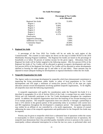#### **Set-Aside Percentages**

| <b>Set-Asides</b>                                                                                                                                                                                   | <b>Percentage of Tax Credits</b><br>to be Allocated |
|-----------------------------------------------------------------------------------------------------------------------------------------------------------------------------------------------------|-----------------------------------------------------|
| Regional Set-Aside<br>Region 1<br>Region 2<br>Region 3<br>Region 4<br>Region 5<br>Region 6<br>Region 6<br>Preservation<br>Supportive Housing<br>Additional Tax Credits<br>Community Impact<br>Total | 55.00%                                              |
|                                                                                                                                                                                                     | 18.73%                                              |
|                                                                                                                                                                                                     | 9.00%                                               |
|                                                                                                                                                                                                     | 5.99%                                               |
|                                                                                                                                                                                                     | 4.88%                                               |
|                                                                                                                                                                                                     | 12.29%                                              |
|                                                                                                                                                                                                     | 4.11%                                               |
|                                                                                                                                                                                                     | 15.00%                                              |
|                                                                                                                                                                                                     | 5.00%                                               |
|                                                                                                                                                                                                     | 5.00%                                               |
|                                                                                                                                                                                                     | 20.00%                                              |
|                                                                                                                                                                                                     | 100.00%                                             |

#### **1. Regional Set-Aside**

A percentage of the Year 2010 Tax Credits will be set aside for each region of the Commonwealth. The counties in each region are shown on the map in Exhibit DCED in the 2010 Multifamily Housing Program Guidelines. The Regional Set-Asides are based on the percentage of households at or below 50 percent of median income for the given region. Allocations from the Regional Set-Aside will be further targeted in the following manner: fifty-five percent (55%) of the Regional Set-Aside of Tax Credits will be allocated to general occupancy developments and fortyfive percent (45%) of the Regional Set-Aside of Tax Credits will be allocated to senior developments (defined as housing for older persons age 55 and older or 62 and older). These amounts may be adjusted to ensure adequate funding for developments or regional distribution within this Set-Aside.

#### **2. Nonprofit Organization Set-Aside**

The Agency seeks to encourage development by nonprofits which have demonstrated commitment to improving the living environment, public health, or safety of local populations in Tax Credit developments and will target a minimum of twenty-five percent (25%) of the state per capita allocation amount toward developments involving qualified nonprofit organizations. To be eligible, all nonprofits must meet the following requirements:

A nonprofit organization will qualify for consideration under the Nonprofit Set-Aside if it is described in paragraphs (3) or (4) of Section 501(c) of the Code, is exempt from tax under Section 501(a) and will materially participate in the Tax Credit development throughout the compliance period. In addition, the nonprofit organization must have the fostering of low income housing as one of its exempt purposes. The nonprofit organization must own (directly or through a partnership) at least a 51% interest in the general partner of the partnership entity in accordance with current laws and IRS regulations throughout the development's compliance period. The nonprofit organization may neither be an affiliate of, nor controlled by, a for profit organization. An opinion of counsel addressing the status of the nonprofit organization and qualification for the Nonprofit Set-Aside may

be required.<br>Priority may be given to nonprofits which have a substantial base of operations within the county or municipality in which itproposes a development. To show a substantial base of operations, the nonprofit must demonstrate that it has provided quality charitable services to persons in the county or municipality without substantial interruption for at least the last two years, or performed other such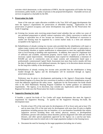activities which demonstrate, to the satisfaction of PHFA, that the organization will further the living environment, public health, or safety of persons in the proposed development. Charitable services are services recognized as charitable by the IRS.

### **3. Preservation Set-Aside**

Some of the state per capita allocation available in the Year 2010 will target developments that meet the Agency's requirements for preservation of affordable housing. Applications for the preservation of general occupancy and senior developments may qualify for the Preservation Set- Aside if targeting:

- (a) Existing low income units receiving project-based rental subsidies that are within two years of any permitted prepayment or subsidy contract expiration with a likely conversion to market rate housing or equivalent loss of low income use restrictions. (The likelihood of conversion to market rate housing must be supported by a current market study in a form and substance acceptable to the Agency); or
- (b) Rehabilitation of already existing low income units provided that the rehabilitation will repair or replace major systems and components that are 1) in immediate need of repair or replacement; or 2) functionally obsolete or require modification or enhancement to meet new applicable federal, state or local housing or building code requirements. In addition, there must be a legitimate lack of sufficient and available, unrestricted property reserve funds or capital to provide for the necessary capital improvements. Developments must expend for rehabilitation a minimum of \$10,000 per unit in construction costs on major systems and components based upon a professionally commissioned Capital Needs Assessment (not more than twelve months old from the date of Application) or such additional amounts, the Agency in its discretion deems necessary for the long term viability of the development; or
- (c) Rehabilitation of already existing low income units provided that the rehabilitation is being funded through the Agency and the development will be monitored through an Agency

preservation program.<br>Preference may be given to developments participating in the Agency's Preservation through Smart Rehab Program or to those that face conversion to market or which have rehabilitation scope of work that addresses significant life safety issues. Applicants for the Preservation Set-Aside should refer to the 2010 Multifamily Housing Program Guidelines for further guidance on submission requirements. The Agency, in its discretion, may consider any Applications under the appropriate Regional Set-Aside once the Preservation Set-Aside is exhausted.

#### **4. Supportive Housing Set-Aside**

If feasible, a special Set-Aside of Tax Credits will targetdevelopments that meet the Agency's requirement for Supportive Housing. To qualify for the Supportive Housing Set-Aside, the development must:

- a. Provide at least 25% of the total units for developments of 20 or fewer units and at least 15% and no more than 25% of the total units for development with more than 20 units to eligible populations including persons that are homeless; or to non-homeless households that require supportive services including those with mental, physical, sensory, or developmental disabilities; persons with substance abuse disorders; persons diagnosed with AIDs and related diseases, and other special populations approved by the Agency on a case-by-case basis. Designated units must be rented only to the target population (subject to fair housing laws).
- b. Document the need for housing for the target population (including size of units).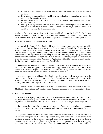- c. Be located within 2 blocks of a public transit stop or include transportation in the site plan of services.
- d. Have funding in place or identify a viable plan for the funding of appropriate services for the duration of the compliance period.
- e. Provide a rental subsidy so that rents in Supportive Housing Units do not exceed 30% of household income.
- f. Identify a lead agency that will act as a referral agent for the targeted units and have an agreement in place for that referral process. Services for the target population cannot be a condition of residency for these or other units.

Applicants for this Supportive Housing Set-Aside should refer to the 2010 Multifamily Housing Program Application Instructions for further guidance on submission requirements. Applications for the Supportive Housing Set-Aside may be either for general occupancy or senior developments.

#### **5. Requests for Additional Tax Credits Set-Aside**

A special Set-Aside of Tax Credits will target developments that have received an initial Developments that must be placed in service in 2010 will receive preference for the Tax Credits. This Set-Aside is only available for developments which have closed on their equity investment or can demonstrate the capacity to secure an equity investment, satisfactory to the Agency, and qualified applicants must neither have changed any selection criteria nor made any unapproved modifications to the development from the initial Application. Applications will not be accepted for additional Tax Credits due solely to an increase in Maximum Basis Limits.

In the event the applicant is amending the selection criteria considered by the Agency in making the initial reservation the applicant must submit a new Application. Regardless of which source the applicant chooses (i.e. Regional Set-Aside or Additional Set-Aside), applicants may only request additional Tax Credits two times subsequent to the initial reservation.

A development seeking Additional Tax Credits from the Set-Aside will not be considered at the same time under the Regional Set-Aside. Once the Additional Tax Credits Set-Aside is exhausted the Agency, in its discretion, may reallocate Tax Credits in an amount as determined by the Agency to

developments which must be placed in service in 2010.<br>All applicants for Additional Tax Credits should refer to the Checklist of Exhibits in the 2010 Multifamily Housing Program Guidelines for resubmission requirements and processing instructions.

#### **6. Community Impact**

Based on the Agency's experience, there are circumstances under which an evaluation of a development supported by Tax Credits needs to take account of the contribution it can make to a neighborhood's revitalization. The Agency has set-aside Tax Credits to target such developments.

In weighing the impact of community revitalization, the Agency will look at how, in measurable terms, the development meets the Community and Economic Impact Selection Criteria (set forth herein).

Applicants should articulate and demonstrate how the development will fulfill or achieve a "community changing" effect on the neighborhood, citing and evidencing as many of the above attributes as possible to be favorably considered under this program. If part of a comprehensive strategy, there should be a commitment of sufficient resources to substantiate that the strategy has a reasonable chance of being implemented. Efforts that show coordination with other state and local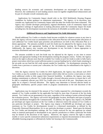funding sources for economic and community development are encouraged in this initiative. However, the combination of such funding sources must tie together neighborhood enhancement and be part of a broader overall community plan.

Applications for Community Impact should refer to the 2010 Multifamily Housing Program Guidelines for further guidance on submission requirements. The Agency, in its discretion, may consider any Application for Community Impact after the other Set-Asides have been exhausted. The Agency may consider developer participation, regional distribution, scale of community impact and competitive rankings of Applications in making allocations under the Community Impact Set-Aside including how the development maximizes the inclusion of affordable accessible units in its design.

#### **Additional Resources and Supplemental Set-Aside Information**

Should additional Tax Credits or stimulus funds become available for whatever reason at any time in 2010, the Agency will not issue an amendment to this Allocation Plan but will instead make allocations of such additional Tax Credits based upon priorities and preferences set forth in this Allocation Plan as it deems appropriate. The amounts available in each Set-Aside may be adjusted by the Agency at any time to ensure adequate and appropriate funding of the developments meeting the Program criteria. Additionally, the Agency may consider any development in any Set-Aside it deems appropriate to maximize distribution and meet state housing goals.

The amounts available in each Set-Aside may be adjusted by the Agency at any time to ensure adequate and appropriate funding of the developments meeting the program criteria. Further, the Agency reserves the right to allocate more than the available Tax Credits in each Set-Aside in order to fully fund a project reservation which has scored sufficient points to warrant funding but for which funds remaining in the set-aside can not fund the full credit amount needed for feasibility. For developments returning Tax Credits from a previous or current year's allocation, the Tax Credits may be redistributed at the Agency's

discretion.<br>After the Agency reserves Tax Credits for 2010 Applications, the Agency may allocate such 2010 Tax Credits as may be available to any development which either did not receive a reservation or which needs additional credits to fully support their financial feasibility. In addition, the Agency may make binding commitments to allocate Tax Credits through a forward allocation process to ensure that it will be able to completely allocate year 2010 Tax Credits prior to the end of the year. Developers may not apply for or request a forward allocation. The Agency may determine to forward allocate based on geographic distribution, specific project needs or program considerations in the sole discretion of the Agency.

Applications may be returned if the amount of Tax Credits requested for a development exceeds the amount of Tax Credits available for the applicable Set-Aside by more than 10 percent of the Set-Aside amount. Tax Credits are not guaranteed to any party, regardless of the ranking or points achieved through the evaluation process. The Agency will review the geographic location, developers and types of projects to ensure distribution throughout the Commonwealth. In addition, the Agency may impose a \$1,200,000 per developer per region maximum on the Tax Credits or otherwise restrict the amount of Tax Credits to any particular developer or project. The Agency may impose a \$1,600,000 per developer per region maximum on Tax Credits for developments located in a distressed municipality as defined by the Financially Distressed Municipalities Act to any particular developer or project. Based upon the demand for Tax Credits and development rankings, the Tax Credits reserved for any one applicant (or related entity or material participant) or development in any specific jurisdiction or within a particular Set-Aside may be limited at the discretion of the Agency. Moreover, the Agency reserves the right to amend, modify or waive specific nonmaterial submission requirements or requisite documentation to best achieve affordable housing programs or affirmatively further fair housing in the Commonwealth.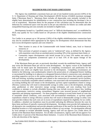#### **MAXIMUM PER UNIT BASIS LIMITATIONS**

The Agency has established a maximum basis per unit of one hundred twenty percent (120%) of the U. S. Department of Housing and Urban Development's (HUD) Section 221(d)(3) maximum mortgage limits ("Maximum Basis"). Maximum Basis includes all depreciable costs normally included in the eligible basis determination for rehabilitation or new construction (not including the developer's fee or cost of acquisition). Maximum Basis for the purposes of this calculation may be determined after the deduction for commercial space costs but prior to the pro rata reduction for historic tax credits and other nonqualified financing and costs normally not included in eligible basis.

Developments located in a "qualified census tract" or "difficult development area", as established by HUD, may qualify for Tax Credits based on 130 percent of the eligible rehabilitation/new construction

basis.<br>Tax Credits in an amount up to 130 percent (130%) of the eligible rehabilitation/new construction basis may also be considered where appropriate by the Agency for developments which demonstrate that they have excess development expenses and costs related to:

- Their location in areas of the Commonwealth with limited federal, state, local or financial  $\bullet$ resources; or
- $\bullet$  Their provision of general occupancy units in "underserved" areas, as defined by the Agency, with acquisition costs (from an unrelated party) exceeding 10% of the maximum basis limits; or
- Community impact developments with mixed income (of at least 15% market rate units) or mixed use components (commercial space of at least 15% of the square footage of the development).

If the Maximum Basis per unit, as previously described, exceeds the established limits, Agency staff may waive the Maximum Basis per unit for some developments. An Agency waiver of the established limits will be based upon the demonstration of compelling circumstances and justification for the additional costs which are eligible basis incurred in the development. Compelling circumstances are limited to the following: costs predominately related to the preservation of a designated historic building or necessitated by building in or adjacent to a designated historical district; construction costs attendant to providing supportive services to the resident population that are over and above that typically associated with such housing, including reasonable costs related to the construction of community service facilities; costs due to structurally unsuitable subsoil conditions; costs associated with environmental remediation of an existing building that will remain in the development; up-front capital expenditures related to energy efficiency systems that will result in demonstrable savings in utility costs to the development, including solar, geothermal, or other innovative energy savings techniques; and costs resulting from local conditions or attempts to exclude affordable housing (this may include excessive impact fees, building code requirements, restrictive zoning, extraordinary litigation costs incurred because of neighborhood opposition and planning requirements). For those properties seeking to exceed limits based on costs due to unsuitable subsoil conditions, costs associated with environmental remediation, or up-front capital expenditures related to energy efficiency systems that will result in demonstrable savings in utility costs must provide evidence that such costs are in excess of expenditures required for eligibility for tax credits. In addition, a detailed cost breakdown must be provided indicating the difference between the costs for these items and those of typically constructed developments. Developers must provide full explanation of all alternative site considerations and provide adequate justification of the need for the development at the identified location or a full explanation and adequate evidence of cost savings. For developments affected by local attempts to exclude affordable housing, Agency staff will not approve Tax Credits above 30 percent of the Maximum Basis limitation. For all other circumstances, Agency staff will not approve Tax Credits above 15 percent of the Maximum Basis limitation. A waiver of the Maximum Basis limitation is at the sole discretion of the Agency.

See Exhibit MAX BASIS for a breakdown of the Agency's Maximum Basis limitation by market area and unit size.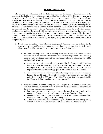#### **THRESHOLD CRITERIA**

The Agency has determined that the following minimum development characteristics will be considered threshold criteria for all developments seeking Tax Credits in 2010. The Agency may waive the requirement of a specific amenity if compelling circumstances exist, or if the inclusion of such amenity adversely affects the financial feasibility of the development or if, due to the nature of the rehabilitation of the development, the inclusion of such amenity is cost prohibitive. The Agency will review the architectural documents submitted with the proposal to confirm the existence of the proposed amenities. A certification from the design architect verifying the inclusion of the amenities in the development must be submitted with the Application. Confirmation from the construction contract administration architect is required with the submission of the cost certification documents. For developments not requiring the services of an architect, the certifications may be provided by the general contractor. Amenities should be appropriate for the proposed resident population. Verification of the availability of all amenities may be required by the Agency at any time and throughout the development's compliance period.

- 1. Development Amenities The following Development Amenities must be included in the proposed development. (Please note that the applicant should seek independent tax advice as all of the costs of the following amenities may not be includible in eligible basis.)
	- On-site Community Room. The community room must be one room and should be of  $\bullet$ sufficient size to accommodate the residents and services to be provided. The community room in senior housing developments should include a kitchen or kitchenette that will be available to all residents.
		- o An on-site community room will not be required for developments with 11 units or less or scattered site properties. Applications which are continuation of a phased development will be required to provide space sufficient to meet the size requirements below based on the aggregate of the number of units in all phases.
		- o The community room should contain at least 15 net square feet per unit for properties between 12 and 50 units. Community rooms in developments with more than 50 units should be at least 750 square feet in size. The square footage required shall be in addition to the kitchen or kitchenette, where provided.
	- Laundry Facilities. Common laundry facilities or the provision of individual washers and  $\bullet$ dryers in each unit are required. If the development contains a common laundry facility, the following requirement must be met:
		- o For general occupancy developments: one washer and dryer per 12 units, with a minimum of two washers and two dryers required at each laundry facility.
		- o For elderly development: one washer and dryer per 20 units, with aminimum of two washers and two dryers required at each laundry facility.
		- o A minimum of one front load washer and dryer is required for each laundry facility and will be required in accessible units containing washer and dryer in the unit.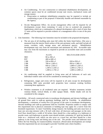- Air Conditioning. For new construction or substantial rehabilitation developments, all  $\bullet$ common spaces must be air conditioned (except stair towers, mechanical rooms and storage rooms).
	- o Preservation or moderate rehabilitation properties may be required to include air conditioning as part of the proposal if financially feasible and deemed reasonable by the Agency.
- On-site Management Office. An on-site management office will be required for all developments except: those containing 11 units or less or scattered site properties. Applications which are a continuation of a phased development with a total of more than 11 units will be required to provide evidence of a management office in one of the prior phases.
- 2. Unit Amenities The following Unit Amenities must be included in the proposed development.
	- The net area of all dwelling units must fall within the limits listed below. (Net area is measured from the interior finish surface of the unit perimeter walls, and shall include all rooms, corridors, walls, storage areas, and mechanical spaces). Rehabilitation developments may vary from the maximums and minimums by 10%. Accessible units may vary from the maximums as required to provide an accessible route and accessible clearances.

|            | <b>FLATS</b>        | MULTI-FLOOR UNITS   |
|------------|---------------------|---------------------|
| SRO        | 90 to 200 s.f.      |                     |
| <b>EFF</b> | 400 to 600 s.f.     |                     |
| 1 BR       | 550 to 850 s.f.     | 650 to 950 s.f.     |
| 2 BR       | 700 to 1,100 s.f.   | 850 to 1,300 s.f.   |
| 3 BR       | 950 to 1,350 s.f.   | 1,000 to 1,550 s.f. |
| 4 BR       | 1,100 to 1,550 s.f. | 1,200 to 1,750 s.f. |
| 5 BR       | 1,300 to 1,750 s.f. | 1,400 to 2,000 s.f. |

- Air conditioning shall be supplied to living areas and all bedrooms of each unit. Individual window units will not be considered as meeting this criteria.
- $\bullet$ Refrigerators, ranges and ovens will be required in all units except for developments containing SRO units provided such properties have common cooking facilities containing these appliances.
- Window treatments in all residential units are required. Window treatments include  $\bullet$ venetian blinds, vertical blinds, or other opaque blinds. Roller shades will not be considered in this category.
- 3. VisitAbility All newly constructed units in townhouse developments and elevator buildings, and all ground floor units in walk-up apartment buildings shall be VisitAble. In rehabilitation developments, a minimum of twenty-five  $(25)$  percent of the units in townhouse developments, elevator buildings and walk-up apartments shall be VisitAble. Properties unable to comply with this requirement due to physical constraints or building type may apply for a waiver from this threshold requirement. To meet VisitAbility design features: the building and units must have at least one zero-step entrance with a 36 inch wide door; all doorwaysand passages on the entry level floor should have a width of 36 inches; there should be a clear pathway to a bathroom or powder room; such bathroom or powder room should include a minimum 24" grab bar beside the toilet on a reinforced wall, which can also serve as a towel bar; and there should be a clear pathway to the living room and dining area of the unit. The powder room and bathroom must follow the Fair Housing Act maneuverability clearances. (Preservation developments are exempt from this requirement but are encouraged to provide VisitAble units where feasible.)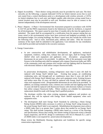- 4. Digital Accessibility Three distinct wiring networksmust be provided for each unit. The three networks are the following; a separate dedicated CAT5e (or better) internet access line to each unit routed from a central distribution point or a development-wide wireless network; a CAT5e (or better) telephone line to each unit; and digital capable cable television wiring routed from a central location must also be provided to each unit. Residents must be able to connect to the internet independently of the development network.
- 5. Phase 1 Reports A Phase 1 Environmental Site Assessment prepared in accordance with ASTM E-1527-05 and the PHFA requirements found in the Submission Guide for Architects, is required for all developments. The report cannot be more than 12 months old at the time the application is submitted. The report shall be accompanied by a certification from the sponsor stating that any issues raised in the environmental review have been reviewed and budgeted accordingly in the development budget. For existing buildings, the Phase I report must also include the results from the following tests: lead in water, lead-based paint, asbestos and radon. Only the executive summary of the report shall be submitted in the application. Cost estimates for any remediation work shall be provided and included in the executive summary.
- 6. Energy Conservation
	- In new construction and rehabilitation developments, all appliances, mechanical  $\bullet$ equipment, windows, ceiling fans, exhaust fans and exit signs, shall be Energy Star® labeled when such equipment and appliances exist. (Exception: programmable thermostats do not need to be provided). In addition, 50% of the permanent room light fixtures in the dwelling units shall be equipped with compact fluorescent bulbs and 100% of the community room and common area corridor and stair lighting shall be fluorescent with electronic ballasts or shall utilize compact fluorescent bulbs.

or

In preservation developments, existing refrigerators more than 6 years old shall be replaced with Energy Star® labeled type. Existing heat pumps, air conditioning condensing units, and through-wall air conditioners more than 6 years old shall be replaced with Energy Star® labeled type, when such equipment exists. Existing furnaces and boilers more than 10 years old shall be replaced with Energy Star® labeled type, when such equipment exists. (Programmable thermostats do not need to be provided) In addition, an existing community room, common area corridor and stair lighting more than 15 years old shall be replaced with fluorescent fixtures with electronic ballasts or fixtures that utilize compact fluorescent bulbs. Where windows are schedule for replacement, replacement should be made with Energy Star® qualified products.

The developer certifies that when existing equipment, appliances and products are replaced, they will be replaced with Energy Star® labeled equipment, when such equipment exists.

The development shall meet Energy Star® Standards by achieving a Home Energy  $\bullet$ Rating System (HERS) index necessary to achieve an Energy Star® rating (issuance of the actual Energy Star® label is not required). Rehabilitation developments must achieve a HERS index that is no greater than 2 points above that needed for an Energy Star® rating. This shall include computing a HERS index based on a review of the drawings and specifications, blower door testing, duct blaster testing (if ductwork exists) a thermal bypass inspection, and HVAC design in conformance with ACCA Manuals D, J, and S. (A HERS index is not required for preservation developments.)

Please review the Multifamily Housing Application and Guidelines for specific energy conservation requirements.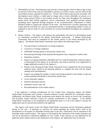- 7. Affordability of Units Developments must provide a financing plan which evidences that at least ten percent (10%) of the units are affordable to persons at or below twenty percent (20%) of the area median income, adjusted for family size. At least half of these units must be accessible. The development must evidence a viable plan to charge rents at levels affordable to persons at or below twenty percent (20%) of area median income for these units throughout the compliance period which shall include supportive service commitments from qualified provider entities (including those supported through programs of the Commonwealth's Department of Public Welfare) needed to support the residents of the units. The Restrictive Covenant Agreement will require that the extremely low rents are maintained and that a corresponding number of units are marketed to and set aside for such extremely low income households throughout the compliance
- period. 8. Market Analysis The Agency will measure the marketability and need of <sup>a</sup> development based on information provided by the Market Study/Needs Assessment. A Market Study/Needs Assessment form must be completed by the market analyst in the format developed by the Agency. The Market Study/Needs Assessment must address the following criteria:
	- Size and trends of waiting lists in existing complexes;  $\bullet$
	- $\bullet$ Vacancies in existing complexes;
	- Affordable housing options in the primary market area;
	- $\bullet$ Rent pricing advantage of the proposed development rents compared to market rents;
	- $\bullet$ Population statistics;
	- Impact on existing subsidized, affordable and Tax Credit developments; (Adverse impact,  $\bullet$ as determined by the Agency in its discretion, may lead to rejection of an Application or trigger additional scrutiny by the Agency.);
	- Results of the Housing Provider NeedsAssessment Form completed by the local housing  $\bullet$ authority (note: refusal by the housing authority to complete the form will not impact
	- ranking of the development);<br>Capture rate relating the number of rental units being proposed to the number of age and  $\bullet$ income qualified households in the primary market area;
	- Local community support;  $\bullet$
	- Projected absorption period;  $\bullet$
	- Estimated vacancy rate; and  $\bullet$
	- Recommendations of the market analyst.  $\bullet$

If the applicant is seeking consideration for Tax Credits from Community Impact, the Market Study/Needs Assessment must include a separate breakout of items identified for Community Impact. Additionally, the Market Study /Needs Assessment must identify the criteria set forth in the Community and Economic Impact Selection Criteria for ranking consideration in this category. If the Market Study/Needs Assessment is not completed by the appropriate party or is not in the Agency's format, the Application may be rejected and returned to the applicant.

The Agency will closely review the Market Study/Needs Assessment and the information gathered during its site visit. If questions or concerns are raised regarding the market and/or need of the development or the impact on affordable housing units in the area, clarification will be requested of the developer and/or market analyst. The Agency is not bound by the conclusion of the market analyst(s) and will use its discretion to determine eligibility for Tax Credits. If the concerns are not addressed by the applicant and/or market analyst to the satisfaction of the Agency, the Application may be returned.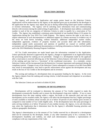#### **SELECTION CRITERIA**

#### **General Processing Information**

The Agency will review the Application and assign points based on the Selection Criteria. Applications will be underwritten by the Agency at the adjusted gross pay-in provided by the developer in the application but the Agency may adjust the pay-in during underwriting based upon market conditions or investor information. The Agency will be soliciting more information from and communicating directly with investors during the underwriting of applications. A development must address a substantial number in each of the six categories of Selection Criteria in order to qualify for a reservation of Tax Credits. The Agency has established a minimum point threshold of one hundred fifteen (115) points for Applications during the Year 2010 Tax Credit Program. The Agency reserves the right, at any time, to require submission of such documentation or additional support as it deems necessary to evidence any of the items set forth herein including, without limitation, additional independent market studies, independent appraisals, evidence of property location and accurate deed and title information, independent capital needs assessments and opinions of qualified tax counsel or certified public accountants and will impose additional documentation or clarifying information as further set forth herein and in the 2010 Multifamily Housing Program Guidelines.

All Tax Credit reservations are made based upon the information contained in the Application. Unless specifically directed or approved by the Agency, changes or supplements to an Application during the processing period for ranking are not permitted. Changes to a development made by the applicant after a reservation is received affecting any of the Selection Criteria features will result in reconsideration of the ranking and may lead to a "rescission" of the conditional reservation. As a reminder, certain Selection Criteria will be incorporated into the Restrictive Covenant Agreement and monitored during the compliance period. Changes in any of the Selection Criteria subsequent to issuance of an IRS Form 8609 may result in noncompliance, may lead to specific enforcement action against the development and may result in the loss of Tax Credits to the development and its investors.

The scoring and ranking of a development does not guarantee funding by the Agency. In the event the Agency departs from the ranking and scoring criteria, it shall document such departure in accordance with the Code.

The Selection Criteria are set forth in Exhibit SC2010.

### **RANKING OF DEVELOPMENTS**

Developments will be evaluated to determine the amount of Tax Credits required to make the development economically feasible and to ensure the development's long term viability. If two or more developments have the same ranking within a region. Set-Aside or the statewide pool and only one development can be awarded credits, the Agency will select the development that has a higher percentage of units available to residents whose incomes are at or below 50 percent of area median gross income as compared to total number of Tax Credit eligible units. If the developments have the same percentage of units serving residents at or below 50 percent of area median income, the Agency, in its sole discretion, may select the Application that it determines best fits the Agency s affordable housing priorities and achieves geographic distribution.

The Agency's determination as to the amount of Tax Credits reserved for or allocated to a development shall not be construed by the developer, lender, or any other interested party to be a warranty of the development's feasibility and viability, nor shall such determination constitute a representation of compliance with any requirements of the Code.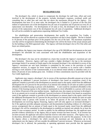#### **DEVELOPER'S FEE**

The developer's fee, which is meant to compensate the developer for staff time, effort and work involved in the development of the property, includes developer's expenses, overhead, profit and consulting fees or other fees and costs that are above the maximums allowed by the Agency. For developments that have 25 or more units, the developer's fee is limited to 15 percent of the first \$10 million of replacement cost of the development less all costs of acquisition and 10 percent on every \$1 of replacement cost thereafter. For developments of 24 units or less, the developer's fee is limited to 20 percent of the replacement cost of the development less allcosts of acquisition. Additional developer's fee will not be available for applications requesting Additional Tax Credits.

For rehabilitation and preservation developments that qualify for acquisition Tax Credits, a developer's fee will be allowed on a portion of the acquisition cost that is basis eligible. The fee is limited to 10 percent of the purchase price of the property less the cost of the land. The maximum acquisition cost that will be recognized in determining the developer's fee will be the lesser of the actual amount paid for the building or the MAI appraised value. The Agency will limit developer's fee to 5% if the seller and buyer are related parties.

In addition, the Agency may impose a developer's fee cap of \$1,500,000 per development on the total developer's fee allowable for costs associated with both the rehabilitation and acquisition of the development.

The developer's fee may not be calculated on a basis that exceeds the Agency's maximum per unit basis limitation. However, Agency staff may consider a higher developer's fee (up to the maximum percentage limits) if an amount of funds equal to the increased developer's fee calculated in excess of the Agency's maximum per unit basis limitation is committed by the owner to the provision of social supportive services, as support for lower income families in transition or in concert with a families moving to work initiative of the Commonwealth, or as an internal rental subsidy to subsidize rents at or below 20 percent of area median gross rent. Evidence of these commitments must be provided with the Tax Credit Application.

Applicants may request a developer's fee in excess of the maximum allowable amount up to but not exceeding an additional 5 percent (exclusive of developer's fees based on acquisition costs) if the applicant commits to provide to the development an amount equal to the equity raised from the additional development fee of 5 percent for the provision of an internal rent subsidy for all units set aside to provide affordable accessible housing to persons with disabilities. A unit would be considered affordable in this instance if the housing expense to the resident is maintained at a level affordable to a person with income at or below 20 percent of the area median income. Applicants may also request an increase in developer's fee in an amount not to exceed an additional 5 percent (exclusive of developer's fees based on acquisition costs) if the applicant commits to provide to the development an amount equal to the equity raised from the additional development fee of 5 percent for the provision of an internal rent subsidy for units set aside to subsidize rents to person with income at or below 40 percent of the area median income. For developments not receiving Agency financing, Agency staff will only approve an increased developer's fee if the applicant provides adequate assurances and documentation (including evidence of a third party escrow arrangement) that an amount of funds equal to the increased equity raised from the additional developer's fee will be committed to the development to establish an internal rent subsidy for at least the initial 15 year occupancy period. In order to qualify for the additional developer fee, the applicant must provide evidence satisfactory to the Agency that an equity investor has been secured. If an investor has not been secured, the applicant will need to fund the reserves with other resources. (The Agency may, in its discretion, determine to allow additional stimulus resources to be used for this purpose.) In the event the Agency allows a developer's fee which exceeds the maximum per unit limitation up to the replacement cost, the Agency will not consider the additional 5 percent increases. Whenever an increased developer's fee is allowed, the partnership or operating agreement must provide that the approved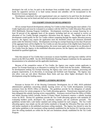developer's fee will, in fact, be paid to the developer from available funds. Additionally, provision of funds for supportive services or to fund various internal rent subsidies will be incorporated in the Restrictive Covenant Agreement.

Development consultant's fees and organizational costs are required to be paid from the developer's fee. These fees may not be listed and shall not be recognized as separate line items on the Application.

#### **TAX EXEMPT FINANCED DEVELOPMENTS**

All tax exempt financed developments utilizing Tax Credits in their financing plan must submit a Tax Credit Application and must be evaluated in accordance with the 2010 Tax Credit Allocation Plan and the 2010 Multifamily Housing Program Guidelines. Developments receiving tax exempt financing for at least 50 percent of the aggregate basis of the property including land are not required to receive an allocation of Tax Credits through competitive allocation from the Agency. The eligible basis of the development would qualify for the Tax Credits without competing through the regular allocation process however, the Agency may require the application meet the threshold criteria and minimum threshold points under the Selection Criteria. Developments receiving tax exempt financing on less than 50 percent of the aggregate basis will be eligible for Tax Credits on only that portion of the eligible basis financed by the tax exempt bonds. For the remaining portion, the owner must apply and compete for an allocation of Tax Credits from the Agency in the established allocation process, but the Agency may establish a lower threshold for qualified applicants.

Only that amount of Tax Credits that is necessary to ensure feasibility and long term viability will be issued on the IRS Form 8609. See the 2010 Multifamily Housing Program Guidelines for the appropriate documentation to be submitted and the applicable timeframes.

Because of the competitive nature of Tax Credits, the Agency may require certain applicants to pursue Tax Exempt financing as an alternative to seeking Tax Credits from the Set-Asides. Additionally, for developments seeking Tax Exempt financing, the Agency may waive such timelines, processing and program requirements, in its discretion, to encourage and facilitate such financings. The Agency may also allow costs per unit above Maximum Basis limits and may allow higher developer's fees for developments using this funding source.

#### **SUBSIDY LAYERING REVIEWS**

Pursuant to Section 911 of the Housing Community Development Act of 1992, HUD published administrative guidelines concerning subsidy layering review of Tax Credit developments receiving assistance from the HUD's Office of Housing. The guidelines provide for the delegation of subsidy layering reviews for certain programs to Tax Credit allocating agencies. Pennsylvania requested and has been delegated this subsidy layering review responsibility. Assistance received from the Office of Public and Indian Housing (which includes Section 8 Project Based Assistance) requires a subsidy layering review by HUD. Section 911 guidelines provide the Tax Credit allocating agencies with standards for evaluating builder's profit, developer's fee, syndicator expenses, and net syndicator proceeds. The guidelines include both a safe harbor standard and ceiling standard for each category. The Tax Credit allocating agency may simply use the safe harbor standards or through the Allocation Plan may raise the safe harbor standards to the published maximum ceiling standards. The Agency has elected to raise the safe harbor guidelines to the maximum ceiling standards established for the Section 911 layering review since the ceiling standards are within the fee and cost limitations already established for the Tax Credit Program.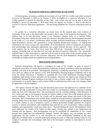#### **PLACED-IN-SERVICE/CARRYOVER ALLOCATION**

All developments receiving a conditional reservation of Year 2010 Tax Credits must either be placed in service by December 1, 2010 or, by October 1, 2010, be eligible for a carryover allocation of Tax Credits pursuant to Section 42 (h)(1)(E) of the Code. Any owner who will not be able to place the building in service by December 1, 2010 must notify the Agency by October 1, 2010 of the need to execute a Carryover Allocation Agreement. All processing deadlines for Carryover Allocations must be met.

To qualify for a Carryover Allocation, an owner must, by the required date, have evidence of ownership of the land or the depreciable real property that is part of the proposed development. The Agency may, in its sole discretion, accept 1.) an Attorney's Opinion Letter or a Certified Public Accountant Letter that certifies that the owner has carryover allocation basis for the development pursuant to the Code; or 2.) an owner's certification which includes sufficient identification of the property (i.e. legal descriptions, surveys, title insurance) to assign building identification numbers. In making this certification, the owner accepts full responsibility of all discrepancies, errors or omissions of properties and acknowledges that subsequent adjustments may require Internal Revenue Service approval. The Code requires that an owner must incur more than 10% of the "reasonably expected basis" in the property, including land, no later than one year from the date of Carryover Allocation. The "reasonably expected basis" is that basis which is expected to be incurred as of the close of the second calendar year following the calendar year of the Carryover Allocation. See the 2010 Multifamily Housing Program Guidelines for further details and additional processing deadlines.

#### **PROCESSING PROCEDURES**

Selected developments will receive a contingent set aside of Tax Credits. In order to receive a conditional reservation of credits, documentation evidencing an equity investment within the established deadline will need to be provided. Developments receiving a conditional reservation of Tax Credits in Year 2010 are subject to the Agency's Year 2010 Multifamily Housing Program Guidelines and in the event the initial reservation is modified or amended, the Year 2010 Multifamily Housing Program Guidelines shall remain in force and effect for the property. However, the Agency may amend the 2010 Multifamily Housing Program Guidelines from time to time to further comply with Tax Credit Program requirements or to enable Agency staff to better fulfill its administrative duties and such changes would be applicable to the development.

The Agency reserves the right, in its sole discretion upon review and approval of acommittee of the Board, to provide an allocation of Year 2010 Tax Credits to a development, without requiring re-ranking under the Year 2010 Allocation Plan. The development must be currently holding a valid allocation of Tax Credits and, due to circumstances beyond its control, unable to meet Tax Credit program placed in service deadlines. The Year 2010 Tax Credits will be allocated upon release and return of the prior allocation. Such circumstances may include delays caused by local government's opposition to affordable housing; delays due to the failure of the federal government to release program guidelines or regulations in a timely manner or due to temporary freezes in federal government budget authority for program activity; or similar extraordinary and compelling basis (and but for such circumstance, Agency program deadlines and requirements would have been met.) Notwithstanding the above, Developments which need additional Tax Credits to be viable for their equity closing must submit a new Application for funding with the Agency. Said developments will not be considered for substitution of Tax Credits because their Application has substantially changed. Further, the Agency may not consider any other Applications for Tax Credits, in its sole discretion for a new development submitted by the same applicant (or related entity or material participant) during the same or following funding round for Tax Credits if it provides this extraordinary relief due to the Developer's inability to meet placed in service deadlines.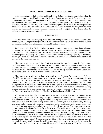#### **DEVELOPMENTS WITH MULTIPLE BUILDINGS**

A development may include multiple buildings if it has similarly constructed units, is located on the same or contiguous tracts of land, is owned by the same federal taxpayer and is financed pursuant to a common plan of financing. A development with multiple buildings that is proposing a mixed income structure must have low-income units in each building of the development. Scattered site buildings on noncontiguous tracts of land may also qualify if the development meets all of the other requirements described above and the development is 100 percent rent and income restricted, however, costs associated with the development of a separate community building may not be eligible for Tax Credits unless the building contains a residential rental unit.

#### **COMPLIANCE**

Owners are responsible for ongoing compliance with all requirements of the Section 42 of the Code and the Agency's Compliance Program Manual, including such rules, regulations, administrative revenue proclamations and revenue rulings as may be issued from time to time.

Each owner of a Tax Credit development must execute an agreement setting forth allowable occupancy and use restrictions, owner responsibilities and continuing Section 42 qualified development characteristics. This agreement, the "Restrictive Covenant Agreement," must be recorded for the maximum period required by the Code and no Tax Credits may be claimed by a property owner in any taxable year unless the Restrictive Covenant Agreement is in effect and is appropriately recorded on the property in the county land records.

The Agency will monitor each Tax Credit development for compliance with the Code. Such requirements may change from time to time and the protocol for compliance monitoring may be adjusted as deemed necessary or appropriate by the Agency. In addition to monitoring for all federal requirements, developments will be monitored for compliance with the occupancy standards, Selection Criteria and other covenants set forth in the Restrictive Covenant Agreement.

The Agency has established an interactive database (the "Agency Apartment Locator") for all affordable housing units in developments participating in any of the Agency's multifamily housing programs, to provide a resource for households seeking affordable housing throughout the Commonwealth and to provide a marketing tool to owners. All developments receiving 2010 Tax Credits must participate in this data collection effort and will be expected to provide information including, but not limited to unit amenities, household size, household incomeand move-in information and any ongoing unit vacancies in a secure and timely manner. Owners are reminded that they must comply with the Agency's Accessible Unit Policy (see Multifamily Housing Program Guidelines).

All owners must keep the following records for each qualified low income building in the development for each year of the compliance period: number of residential units in the building, the number of low income units in building, the number of occupants in each low income unit, the number of bedrooms in each unit, the square footage of each unit, the rent charged on each unit including the utility allowance, the low income unit vacancies in the building and the rentals of the next available unit for each building in the development including when and to whom it was rented. The owner must also keep documentation of the eligible basis and the qualified basis of the building as of the end of the first year of the Tax Credit period. Owners must also keep a record of the annual income certification of low income residents along with documentation to support the certification. (Effective January 1, 2009, Owners with 100% of the units qualified as tax credit units do not have to provide annual income certifications but must provide updates on household composition, student status and rent on the Agency s on-line compliance reporting system.) Owners renting to holders of Section 8 certificates or vouchers may ask the public housing authority issuing the certificates or vouchers to provide a statement declaring that the resident's income does not exceed the applicable income limit under Section  $42(g)$  of the Code. Any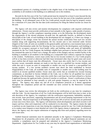nonresidential portion of a building included in the eligible basis of the building must demonstrate its availability to all residents in the building at no additional cost to the residents.

Records for the first year of the Tax Credit period must be retained for at least 6 years beyond the due date (with extensions) for filing the federal income tax return for the last year of the compliance period of the building. In all subsequent years of the Tax Credit period, records must be kept by property owners for a minimum of 6 years after the due date (with extensions) for filing the federal income tax return for the year.

The Agency will also review and monitor developments for compliance with required certification submissions. Owners must provide certification at least annually to the Agency, under penalty of perjury, through the Agency's on-line compliance reporting system, as to the following: the development meets the requirements of the elected minimum set-aside test; the applicable fraction, as defined in Section  $42(c)(1)(B)$  of the Code, of each building in the development has not changed, or, if there was change, a description of the change; owner has received the annual income certification from each low income resident along with supporting documentation; the low income unit is rent restricted under Section  $42(g)(2)$  of the Code; all units are available to the general public and used on a non-transient basis and no finding of discrimination under the Fair Housing Act has occurred for the development; each building is suitable for occupancy pursuant to local health, safety and building codes and meets all habitability standards for the Tax Credit Program; the building's eligible basis pursuant to Section 42(d) of the Code has remained the same (or if there was a change, the nature of the change); and any resident facility in the building is available to all residents in the building on a comparable basis without a separate fee charged to the resident. Furthermore, owners must certify that no low-income resident of a Tax Credit property will be or has been evicted or otherwise had their lease terminated other than for good cause and owner must confirm that all leases state this affirmatively. Owner must also certify that if a low income unit becomes vacant, reasonable attempts are made to rent that unit to a qualified low income resident, and while that unit is vacant no units of comparable or smaller size may be rented to a non-qualified low income resident. If a low income resident's income rises above the limit established in Section  $42(g)(2)(D)(ii)$  of the Code, all available units of comparable or smaller size in that building must be rented to an income qualified resident. Owner must also certify that an extended low income housing commitment, as described in Section  $42(h)(6)$  of the Code, was in effect for all qualified low income buildings in the development. Owner must also certify that a unit lease has not been refused to a Section 8 applicant because the applicant holds a Section 8 voucher or certificate. Owner's certifications of these items must be submitted at least annually or with such greater frequency as may be required by the Agency. The Agency may adjust any and all of its compliance protocols as it deems appropriate throughout the compliance period and the extended use term covered by the Restrictive Covenant Agreement.

The Agency may review the information set forth on the certifications at any time for compliance with the Code. On-site inspections of all Tax Credit developments will be held from time to time, at the sole discretion of the Agency, for compliance with the certification requirements, habitability standards, rent records, lease provisions, supporting documentation and all record keeping requirements in the low income units. Physical inspections of all buildings and at least 20% of all low income units are performed at least once every three years. The Agency will determine which developments and which records it will inspect and how often such inspections will be conducted in its discretion. The Agency retains the right to perform on-site inspections at any time during the compliance period for any Tax Credit development or to conduct more frequent or more detailed site visits if the Agency deems it appropriate. As referenced above, the Agency may also require submission of ongoing data from each property regarding move-ins and vacant units.

Audited financial statements must be submitted annually to the Agency s Compliance Monitoring Department for all properties with twenty (20) or more units. If audited financial statements are not available, a compilation must be prepared and submitted to the Agency s Compliance Monitoring Department. (Applications for Tax Credits in any year may be rejected from organizations or individuals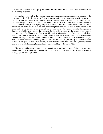who have not submitted to the Agency the audited financial statements for a Tax Credit development for the preceding tax year.)

As required by the IRS, in the event the owner or the development does not comply with any of the provisions of the Code, the Agency will provide written notice to the owner that specifies a correction period that may not exceed 90 days, unless extended by the Agency in writing. Upon the expiration of the correction period set forth in the written notice to the owner, the Agency must file IRS Form 8823 "Low Income Housing Credit Agency Report of Noncompliance" ("IRS Form 8823") with the IRS to advise the IRS of the existence of an event of noncompliance with an explanation of the nature of the event and whether the owner has corrected the noncompliance. Any change in either the applicable fraction or eligible basis resulting in a decrease in the qualified basis will be treated as an event of noncompliance. In addition, any failure to provide required information to the Agency on a timely basis in accordance with its written request or the procedures established in Agency directives or set forth in its Compliance Program Manual may be treated as an event of noncompliance and may result in the filing of IRS Form 8823. Failure to continually meet the requirements of the use, occupancy and other conditions relevant to the operation of the development, as set forth in the Restrictive Covenant Agreement, may be treated as an event of noncompliance and may result in the filing of IRS Form 8823.

The Agency will assess owners an upfront compliance fee designed to cover administrative expenses associated with the performance of compliance monitoring. Additional fees may be charged, as necessary and appropriate, for any property.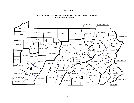#### *Exhibit DCED*



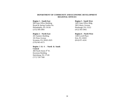#### **DEPARTMENT OF COMMUNITY AND ECONOMIC DEVELOPMENT REGIONAL OFFICES**

908 State Office Building 1405 State Office Bldg. Broad & Spring Garden Sts.<br>
Philadelphia, PA 19130<br>
Pittsburgh, PA 15222 Philadelphia, PA 19130  $(412) 565 - 5002$ 

201 Samters Building 101 Penn Avenue Scranton, PA 18503-2025 (814) 871-4241 (570) 963-4573

(717) 720-7300

#### **Region 3 & 4 North & South Central**  $400$  North Street  $4^{\text{th}}$  Fl. Keystone Building Harrisburg, PA 17120

#### **Region 1 South East Region 5 - South West**

1405 State Office Bldg. 300 Liberty Avenue Pittsburgh, PA 15222 (412) 565-5002

#### **Region 2 – North East Region 6 – North West**

1200 Lovell Place Erie, PA 16503 (814) 871-4241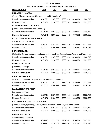| <b>MAXIMUM PER UNIT TAX CREDIT BASIS LIMITATIONS</b>                                  |            |                     |                            |                                                   |            |
|---------------------------------------------------------------------------------------|------------|---------------------|----------------------------|---------------------------------------------------|------------|
| <b>MARKET AREA</b>                                                                    | <u>OBR</u> | <u>1BR</u>          | $\underline{\mathbf{2BR}}$ | <u>3BR</u>                                        | <u>4BR</u> |
| PHILADELPHIA AREA                                                                     |            |                     |                            |                                                   |            |
| (Bucks, Chester, Delaware, Montgomery, and Philadelphia)                              |            |                     |                            |                                                   |            |
| Non-elevator Construction                                                             | \$162,751  | \$187,650           | \$226,310                  | \$289,684                                         | \$322,719  |
| <b>Elevator Construction</b>                                                          | \$171,272  | \$196,333           | \$238,742                  | \$308,852                                         | \$339,026  |
| <b>READING/POTTSTOWN AREA</b>                                                         |            |                     |                            |                                                   |            |
| (Berks, Northumberland, and Schuylkill)                                               |            |                     |                            |                                                   |            |
| Non-elevator Construction                                                             | \$162,751  | \$187,650           | \$226,310                  | \$289,684                                         | \$322,719  |
| <b>Elevator Construction</b>                                                          | \$171,272  | \$196,333           |                            | \$238,742 \$308,852                               | \$339,026  |
| ALLENTOWN/BETHLEHEM AREA                                                              |            |                     |                            |                                                   |            |
| (Lehigh and Northampton)                                                              |            |                     |                            |                                                   |            |
| Non-elevator Construction                                                             | \$162,751  | \$187,650           | \$226,310                  | \$289,684                                         | \$322,719  |
| <b>Elevator Construction</b>                                                          | \$171,272  | \$196,333           |                            | \$238,742 \$308,852                               | \$339,026  |
| <b>SCRANTON AREA</b>                                                                  |            |                     |                            |                                                   |            |
| (Columbia, Carbon, Lackawanna, Luzerne, Monroe, Pike, Susquehanna, Wayne and Wyoming) |            |                     |                            |                                                   |            |
| Non-elevator Construction                                                             | \$162,751  | \$187,650           | \$226,310                  | \$289,684                                         | \$322,719  |
| <b>Elevator Construction</b>                                                          | \$171,272  | \$196,333           | \$238,742                  | \$308,852                                         | \$339,026  |
| <b>WELLSBORO AREA</b>                                                                 |            |                     |                            |                                                   |            |
| (Bradford and Tioga)                                                                  |            |                     |                            |                                                   |            |
| Non-elevator Construction                                                             | \$162,751  | \$187,650           | \$226,310                  | \$289,684                                         | \$322,719  |
| <b>Elevator Construction</b>                                                          | \$171,272  | \$196,333           | \$238,742                  | \$308,852                                         | \$339,026  |
| <b>HARRISBURG AREA</b>                                                                |            |                     |                            |                                                   |            |
| (Adams, Cumberland, Dauphin, Franklin, Lebanon, and Perry)                            |            |                     |                            |                                                   |            |
| Non-elevator Construction                                                             | \$162,751  | \$187,650           |                            | \$226,310 \$289,684                               | \$322,719  |
| <b>Elevator Construction</b>                                                          |            | \$171,272 \$196,333 |                            |                                                   |            |
| <b>LANCASTER/YORK AREA</b>                                                            |            |                     |                            |                                                   |            |
| (Lancaster and York)                                                                  |            |                     |                            |                                                   |            |
| Non-elevator Construction                                                             | \$162,751  | \$187,650           |                            | \$226,310 \$289,684                               | \$322,719  |
| <b>Elevator Construction</b>                                                          |            | \$171,272 \$196,333 |                            | \$238,742 \$308,852                               | \$339,026  |
| BELLEFONTE/STATE COLLEGE AREA                                                         |            |                     |                            |                                                   |            |
| (Centre, Clinton, Lycoming, Juniata, Mifflin, Montour, Union, Snyder, and Sullivan)   |            |                     |                            |                                                   |            |
| Non-elevator Construction                                                             |            |                     |                            | \$226,310 \$289,684                               | \$322,719  |
| <b>Elevator Construction</b>                                                          |            |                     |                            | \$171,272 \$196,333 \$238,742 \$308,852           | \$339,026  |
| <b>PITTSBURGH AREA</b>                                                                |            |                     |                            |                                                   |            |
| (Remaining 29 Counties)                                                               |            |                     |                            |                                                   |            |
| Non-elevator Construction                                                             | \$148,887  | \$171,664           | \$207,032                  | \$265,008                                         | \$295,228  |
| <b>Elevator Construction</b>                                                          |            |                     |                            | \$156,682 \$179,608 \$218,404 \$282,542 \$310,146 |            |

*Exhibit MAX BASIS*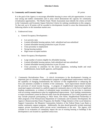#### **A. Community and Economic Impact** *30 points*

It is the goal of the Agency to encourage affordable housing in areas with job opportunities; in areas near strong and stabile communities and in areas which demonstrate the capacity for community revitalization opportunities. The Market Study /Needs Assessment must identify the criteria set forth in the Community and Economic Impact Selection Criteria for ranking consideration in this category. To that end, up to 30 points will be awarded to developments located in areas that demonstrate the following relative to the immediate market area:

- 1. Underserved Areas
	- a. General Occupancy Developments
		- Low poverty rates **Let us**
		- Limited affordable housing options, both subsidized and non-subsidized  $\bullet$
		- Limited affordable housing production in past 20 years  $\bullet$
		- $\bullet$ Close proximity to employment
		- $\bullet$ Strong housing markets **Strong and Strong and Strong Australian**
		- High owner-occupied markets  $\bullet$
	- b. Senior Occupancy Developments-
		- Large number of seniors eligible for affordable housing
		- Limited affordable housing options, both subsidized and non-subsidized
		- $\bullet$ Limited affordable housing production in past 20 years
		- Close proximity to amenities for the senior population, including health and retail  $\bullet$ establishments, home health agencies, and hospitals.

## AND/OR

2. Community Revitalization Plans  $-$  A critical circumstance is the development's forming an important part of a broader or comprehensive program of neighborhood improvement which has the capability of changing fundamentally the character of that neighborhood or enhancing the lives and amenities available to residents of the community. Such improvement should include the provision of mixed income housing. A program of neighborhood improvement includes municipal support articulated in a publicly approved community plan or in the form of significant funding commitments, or evidence of substantial major investment in the area that is consistent with an existing comprehensive plan for neighborhood improvement. Such funding commitments or major investments cannot be derived solely from the development of Tax Credit properties and may include proposals participating in: Main Street, Elm Street, Neighborhood Partnership or other programs of the Pennsylvania Department of Community and Economic Development; the Agency's Homeownership Choice Programs; the Healthy Village Initiative of the Local Initiatives Support Corporation; the Blueprint Communities Initiative of the Federal Home Loan Bank or similar community support programs. Additionally, the plan should generally include municipal support, private investment and/or private sector commitments to the area. The Agency will consider in its evaluation of community impact the use of existing housing or buildings if the development is not located in a qualified census tract.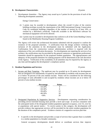#### **B. Development Characteristics** *10 points*

1. Development Amenities – The Agency may award up to 5 points for the provision of each of the following development amenities.

Energy Conservation

- (i) 5 points may be awarded to developments where the overall U-value of the exterior building envelope exceeds the requirements of the 2009 International Energy Conservation Code for residential buildings (regardless of the number of stories) by at least 10%, as verified by a REScheck certificate. Trade-offs available in the REScheck software for mechanical equipment will not be allowed.
- (ii) 5 points may be awarded to developments that conform to all of the Green Building Criteria found in the Multifamily Housing Program Guidelines.

The Agency will review the architectural documents submitted with the proposal to confirm the existence of the proposed amenities. A certification from the design architect verifying the inclusion of the amenities in the development must be submitted with the Application. Confirmation from the construction contract administration architect is required with the submission of the cost certification documents. For developments not requiring the services of an architect, the certifications may be provided by the general contractor or appropriate professional. Amenities should be appropriate for the proposed resident population. The appropriateness and adequacy of the proposed amenities for ranking purposes will be determined at the sole discretion of the Agency. Verification of the availability of all amenities may be required by the Agency at any time and throughout the development's compliance period.

#### **C. Resident Population and Services** *55 points*

1. Income and Rent Targeting  $-$  The applicant may be awarded up to 20 points for developments that are designed to be substantially occupied by and affordable to residents with incomes that are at or below 50 percent of the area median income. Points will be considered for the following percentages of units affordable to and occupied by residents whose incomes are at or below 50 percent of area median income:

| Percentage | <b>Points</b>                                                                                                                                                                                                                                                                                                                      |
|------------|------------------------------------------------------------------------------------------------------------------------------------------------------------------------------------------------------------------------------------------------------------------------------------------------------------------------------------|
| $>10-20\%$ | $\overline{A}$ and $\overline{A}$ and $\overline{A}$ and $\overline{A}$ and $\overline{A}$ and $\overline{A}$ and $\overline{A}$ and $\overline{A}$ and $\overline{A}$ and $\overline{A}$ and $\overline{A}$ and $\overline{A}$ and $\overline{A}$ and $\overline{A}$ and $\overline{A}$ and $\overline{A}$ and $\overline{A}$ and |
| $>20-30%$  |                                                                                                                                                                                                                                                                                                                                    |
| $>30-40%$  | $\perp$                                                                                                                                                                                                                                                                                                                            |
| $>40-50\%$ |                                                                                                                                                                                                                                                                                                                                    |
| $>50\%$    | $\Omega$                                                                                                                                                                                                                                                                                                                           |

- 2. Designated Populations  $\&$  Supportive Services Developments requesting consideration for providing service-enriched housing must provide a level and scope of services consistent with the anticipated needs of the designated resident population (general occupancy, over 55, over 62, or populations with special needs.) To receive points in this category, the development will provide evidence that appropriate services will be provided for the entire resident population for the duration of the compliance period. Evidence consists of a supportive services plan that:
	- Is specific to the development and provides a scope of services that is greater than is available to a similar population in a broader community.

General occupancy developments should deliver or coordinate services that: improve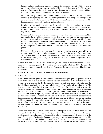building and unit maintenance; stabilize occupancy by improving residents' ability to uphold their lease obligations; and enhance quality of life through increased self-sufficiency and programs that improve life skills, employment, education, income/asset building, child and youth development, community building, and access to services.

Senior occupancy developments should deliver or coordinate services that: stabilize occupancy by improving residents' ability to uphold their lease obligations throughout the aging process and enhance quality of life through improved access to services and benefits, health promotion, community building, and socialization.

Developments for populations with special needs should deliver or coordinate services that stabilize occupancy by improving residents' ability to uphold their lease obligations and enhance quality of life through improved access to services that support the needs of the targeted population.

- Includes sufficient funds to implement the described plan of services. It is recommended that  $\bullet$ this funding be set aside in a supportive services escrow account, but the development's annual operating budget, collaboration with a community-based service provider (include letter of intent or Memorandum of Understanding) or funds from other identified sources may be used. If currently committed funds fall short of the cost of services for at least the first fifteen year period, identify how services will be funded for the remainder of the compliance period.
- Utilizes a service provider with the capacity to deliver described services with sufficiently  $\bullet$ equipped staff. The recommended minimum is 1 hour of on-site per week for every 5 units.<br>Services staff should have access to a computer with Internet and email capabilities. There should be sufficient space to carry out the described services, including adequate office and community space.

Confirmation from the service provider regarding the availability of applicable services at initial occupancy of the development will be required prior to issuing the IRS Form 8609. To ensure the continued provision of supportive services, the Restrictive Covenant Agreement will reflect such commitment.

A total of 15 points may be awarded for meeting the above criteria.

3. Accessible Units

Consideration may be given to developments where the developer agrees to provide twice as many fully accessible units as are otherwise required (under local, state, or federal mandate, whichever is greater) in the development. All employee units and market rate units must be included in the total unit count when calculating the required number of accessible units. The developer must certify that these units are accessible and, that during initial lease up, the developer will exclusively reserve the units for occupancy by persons needing the accessible units for the first thirty days. Thereafter, the developer will include certain provisions in the lease to allow the units to be occupied by persons who need the accessible features of the units, to the greatest extent feasible. Evidence of enforcement of the lease provisions will be required and implementation and adherence to additional outreach programs to identify and match qualified residents who need the accessible features within the development may be required throughout the compliance period which may include contacting the Agency prior to renting the unit to persons who do not require the accessible features in accordance with the Agency's Accessible Unit Policy.

Terms addressing the accessible units and the subsequent rental of these units will be incorporated in the Restrictive Covenant Agreement. In addition, a certification from the design architect verifying the inclusion of the accessible units in the development will be required at the time of application. Confirmation from the construction contract administration architect will be required with the submission of the cost certification documents. For developments not requiring the services of an architect, the certifications may be provided by the general contractor. For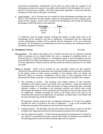preservation developments, consideration will be given for points under this category if the development increases the number of accessible units available in the development by at least 5 percent of the total units available. (All other requirements applicable to rental and long term occupancy of these units are the same.) (10 points)

4. Large Families  $-$  Up to 10 points may be awarded for those developments providing units with three or more bedrooms for large families. High rise developments and senior housing cannot qualify for this category. Points will be considered for developments that include the following percentages of units with three or more bedrooms:

| Percentage<br>the control of the control of the control of the control of the control of | <b>Points</b> |  |
|------------------------------------------------------------------------------------------|---------------|--|
| $>15-20\%$                                                                               |               |  |
| $>20-25%$                                                                                |               |  |
| $>25\%$                                                                                  |               |  |

A certification from the design architect verifying the number of large family units in the development will be required at the time of application. Confirmation from the construction contract administration architect will be required with the submission of the cost certification documents. For developments not requiring the services of an architect, the certifications may be provided by the general contractor.

#### **D. Development Process** *40 points*

- Noncompliance  $-$  The Agency may deduct up to 10 points from the score for proposals involving either an applicant (or any related entity) that owns a managing or controlling interest in a Pennsylvania Tax Credit development or a management agent of such development who has unresolved IRS Form 8823 noncompliance issues, has not met the requirements of the Restrictive Covenant Agreement or failed to meet the selection criteria for which an allocation of Tax Credits was made.
- Ability to Proceed  $-$  Points will be awarded for site ownership, zoning, site plan approval, construction and architectural submissions and committed funding sources and equity investment. As the Agency strives to make resources available to those projects which can quickly and effectively utilize its resources, consideration will be given to those properties which can demonstrate the ability to proceed. A total amount of 40 points may be awarded in this category.
	- Site ownership (5 points) The developer must submit evidence of site ownership, satisfactory to the Agency (which may include, but is not limited to, copies of the deeds and  $\bullet$ recording receipts or, in the case where the property is being conveyed through a municipal authority, evidence of ownership in the municipal authority and official action which demonstrates that property will be conveyed to the developer) of all real estate parcels with the Application. Property ownership (as listed on the deeds) must be the same as the ownership entity listed on the Application. (A subsidiary or related entity to be formed with the same principals may satisfy this standard.)

Developments utilizing long-term lease arrangements (minimum of 35 years) are eligible, provided the lease is executed at the time of application. A copy of the recorded deed evidencing ownership of the property by the lessor must be provided.

- Zoning  $(5 \text{ points})$  The developer must provide evidence that zoning is in place for all sites  $\bullet$ included in the Application and that all variances/special exceptions have been approved.
- Site Plan Approval  $(5 \text{ points}) A$  letter from the appropriate local government (or opinion of  $\bullet$ city solicitor or experienced real estate counsel) that certifies the developer has satisfied the site planning process or that no further municipal approvals are required.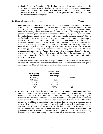$\bullet$ Equity Investment  $(25 \text{ points})$  – The developer must submit evidence, satisfactory to the Agency that an equity investor has been secured for the development. Consideration in this category will be given if such evidence demonstrates, satisfactory to the Agency that a direct investor has been secured for the investment or if the syndicator's letter shows that the funds have been committed to the project.

#### **E. Financial Aspects of Development** *30 points*

1. Leveraging of Resources The Agency may award up to 20 points for the amount of leveraging brought to support the development. Such leveraging may include permanent funding from state or local programs, for-profit and nonprofit organizations' loans supported by current audited financial statements, private foundations and/or federal sources. This category also includes permanent amortizing debt from banks and financial institutions, equity from historic tax credits, land and/or building donation or provision of a long term lease for a nominal amount (subject to verification by a current appraisal). Applications with a donation or a reduction in development related fees (i.e., tap-in, impact, recreational and/or other development rights by the local government unit/municipality) may also be included. The reduction must be measurable and based upon an existing fee schedule that applies to all developments. This category includes a PennHOMES Program in a Nonparticipation Jurisdiction request that has not yet reached feasibility approval and requests for permanent amortized debt, either through taxable or tax exempt bond financing from the Agency. This category does not include deferred (or reinvested) developer's fee. Resources included as a source of financing in the application may not be substituted or adjusted in the future by another funding source in the financing plan unless approved by the Agency.

Comparison will be made between total leveraging and total development costs (for preservation developments, assumed debt will not be included as a funding source nor added as a development cost for purposes of this calculation), with possible points granted as follows:

|                     | Nonparticipatin                           |  |
|---------------------|-------------------------------------------|--|
| Participating       | Jurisdiction<br>Percentage                |  |
| <b>Jurisdiction</b> | $\sim$ $\sim$ $\sim$ $\sim$ $\sim$ $\sim$ |  |
| Percentage          |                                           |  |
| $>10 - 20\%$        | $-5 - 10\%$                               |  |
| $>20-30%$           | $>10-20\%$                                |  |
| $>30-40%$           | $>20-30%$                                 |  |
| >40%                | $>30\%$                                   |  |

2. Development Cost Savings - The Agency may award up to 10 points to Applications which have Maximum Basis (as defined in the Allocation Plan) below the Maximum Per Unit Basis Limitations ("Max Basis") as shown below. Points in this category will generally only be considered for substantial rehabilitation or new construction developments which evidence quality construction at efficient cost levels. (Most preservation deals would not qualify for this category). In addition to submission of certifications that the building as designed and as constructed will meet/meets all labor and material standards set forth in applicable local or statewide codes (without sacrificing unit size and other building amenities), the Agency reserves the right to require additional certifications from local officials or building design professionals prior to the issuance of an IRS Form 8609 for the building or to conduct its own site visits during construction to ensure that the quality of construction is not compromised by cost savings.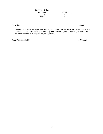| <b>Percentage Below</b> |                                                |
|-------------------------|------------------------------------------------|
| <b>Max Basis:</b>       | $\mathbf{D} \cdot \mathbf{L}$<br><u>Points</u> |
| $\frac{10-20\%}{>20\%}$ |                                                |
|                         |                                                |

#### **F. Other** *5 points*

Complete and Accurate Application Package  $-5$  points will be added to the total score of an application for completeness and for including all essential components necessary for the Agency to determine financial feasibility and project eligibility.

#### **Total Points Available** *170 points*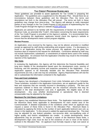# **TAX CREDIT PROGRAM GUIDELINES**

These guidelines are provided to assist applicants for Tax Credits in preparing the Application. The guidelines are a supplement to the Allocation Plan. Should there be an inconsistency between these guidelines and the Allocation Plan, the terms and descriptions set forth in the Allocation Plan will prevail. The terms set forth in these guidelines may change from time-to-time. The Agency will attempt to notify interested parties of any changes in the Tax Credit Program or the process of implementing the Tax

Credit Program through the Agency's website at <u>www.phfa.org</u>.<br>Applicants are advised to be familiar with the requirements of Section 42 of the Internal Revenue Code, as amended (the "Code"). Information concerning the basic requirements of the Tax Credit Program is provided on the Agency's website. It is recommended that, before completing the Application, applicants should check the Agency's website to ensure that the development meets current program eligibility.

# **Review Process**

An Application, once received by the Agency, may not be altered, amended or modified except as approved by staff during underwriting and program review. If a discrepancy is found in an Application during the review process, the applicant may be given five business days to respond to the request for clarification. Corrections allowed by staff may not include replacement, substitution, or amendment of material items used in the ranking of the Application. An omission from the Application Checklist may result in the immediate rejection of the Application.

# **Site Visits**

In reviewing the Application, the Agency will first determine the financial feasibility and long term viability of the development based upon the development costs, sources of financing, and the operating income and expenses presented in the Application. If an Application appears to be financially feasible and the Allocation Plan threshold requirements are met, a site visit may be scheduled. Agency Representatives will visit the site to substantiate the information contained in the Application.

# **Fees and Cost Limitations**

The Agency has developed a Development Cost Limits Schedule and a Fee Schedule. These schedules, included in the Application Instructions, are an applicant's quide for the fees and expenses that are normally incurred in developing a property. The fees and expenses outlined in these two schedules are the maximum amounts that may be included in the total development cost and, if applicable, the eligible basis of the development. Any cost, whether developmental or operational, that is deemed unreasonable may be adjusted by the Agency.

# **Maximum Per Unit Basis Limitations**

The Agency has established Maximum Basis limits. The Application Instructions contain the Maximum Basis limits applicable to developments for each market area of the Commonwealth. A detailed explanation of the conditions under which an applicant may request a waiver of these limits is found in the Allocation Plan. Maximum Basis is calculated by applying the limits by the number of each applicable bedroom-size unit, as shown in the Application. To this amount is added the approved developer fee. This total may be adjusted for any federal subsidies, non-recourse debt, non-qualifying units of higher quality, and historic rehabilitation tax credits. In certain developments, these adjustments may be pro-rated. To request a waiver of the Maximum Basis limits, a development's high costs must be due to the existence of one or more of the factors outlined in the Allocation Plan. An applicant must formally request a high cost waiver at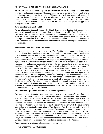the time of application, supplying detailed information on the high cost conditions, cost estimates, and cost comparisons. This information will be reviewed by Agency staff and a specific waiver amount may be approved. This approved high cost amount will be added to the Maximum Basis amount. If a development also qualifies for Acquisition Tax Credits, the Acquisition Tax Credits will be in addition to the New Construction/Rehabilitation Tax Credit. There is no high cost waiver provision applicable to Acquisition Tax Credits.

# **Rural Development Section 515**

For developments financed through the Rural Development Section 515 program, the Agency will recognize only those costs that have been approved by Rural Development. The Agency has entered into <sup>a</sup> Memorandum of Understanding with Rural Development regarding agreed upon procedures for processing developments involving both Rural Development funds and Tax Credits. These procedures will be applied when processing a Tax Credit request for a development with Rural Development funding and are available upon request.

# **Modifications to a Tax Credit Application**

A development receives a reservation of Tax Credits based upon the information contained in the initial Application package. The applicant may not modify the Application in any manner without prior written approval of the Agency. This includes, but is not limited to the following: an increase or decrease in the number of units in any building; an increase or decrease in the number of buildings in the development; a change in any site; replacement of any development team member including the syndicator; alteration of the proposed rent and income structures; change in the participation level of a social services provider; or a change to the financial structure which includes the gross pay-in value of the Tax Credit dollar. Applicants who alter the Application in any manner without prior written approval of the Agency may be subject to an immediate recapture of the Tax Credits reserved. Please note that the Agency may only approve minimal changes to the Application which do not negatively affect the ranking of the development. Certain modifications to an Application will require the remittance of a Modification Fee. Should a development's ranking score decrease as a result of a change, the change may be disallowed or the Tax Credits recaptured or reduced, and negative ranking points may be assessed to all applications submitted by the general partners (or affiliates, subsidiaries, or related entities with the same principals) during the subsequent two years from the date the unapproved change was discovered.

# **Extended Use Agreement/Restrictive Covenant Agreement**

The Indenture of Restrictive Covenants Agreement (the "Agreement") sets forth the income and occupancy restrictions for the development for the entire compliance period or extended use period, whichever is greater. Furthermore, the Agreement requires that the applicable fraction of low-income units will remain the same for each taxable year in the extended use period. In addition to identifying the minimum set-aside election of the buildings, the Agreement will also include the Selection Criteria on which the development was ranked and obtained a reservation of Tax Credits. Tax Credits may not be claimed until the Agreement is executed and recorded. The Agreement must be recorded in the Office of Recorder of Deeds for the county in which the property is located prior to any recording or filing of financing documents for the development. The Agreement will be forwarded to the owner after the reservation of Tax Credits, and must be returned with the Carryover Allocation 10% test documentation evidencing that it has been recorded prior to any other document. The original Agreement must be returned to the Agency.

The Agreement is binding on all successors to the owner.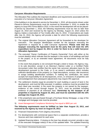# **Carryover Allocation Requirements**

The Allocation Plan outlines the important deadlines and requirements associated with the execution of a Carryover Allocation Agreement.

If the building is to be placed-in-service by December 1, 2010, all documents shown under Placed-In-Service Requirements must be received by November 5, 2010, to enable the Agency to issue IRS Forms 8609 in 2010. In the event the development will not be placedin-service by December 1, 2010, the following requirements must be met no later than August 16, 2010 and received by the Agency by Monday, August 23, 2010 unless the Agency makes a reservation of Tax Credits after July 31, 2010. If reservations are made after July 31, 2010, the Agency will provide a date for which the following requirements must be submitted:

- 1) The original Allocation Carryover Agreement will be forwarded to the developer for execution. The taxpayer identification number for the taxpayer executing the Agreement is required for a valid Carryover Agreement. **Please note that the taxpayer executing the Agreement must be the party that will meet the 10% expenditure test by August 15, 2011 in order for there to be a valid Carryover Allocation Agreement.**
- 2) The executed "Owner Certification of Property Ownership" Form with either a) the current deed(s) which indicate that the taxpayer is the owner of all buildings and land in the project, or b) an extended lease agreement. All documents must be fully executed. The contract of the contract of the contract of the contract of the contract of the contract of the contract of the contract of the contract of the contract of the contract of the contract of the contract of the

In the event that property is not conveyed through a deed or lease, the Agency may, in its sole discretion, accept 1) an Attorney's Opinion Letter or a Certified Public Accountant Letter that certifies that the owner has carryover allocation basis for the development pursuant to the Code, or 2) an owner's certification which includes sufficient identification of the property (i.e. legal descriptions, surveys, title insurance) to assign building identification numbers. In making this certification, the owner accepts full responsibility for all discrepancies, errors, or omissions of properties and acknowledgement that subsequent adjustments may require IRS approval.

- 3) The settlement sheet(s) must be provided for each building or parcel of land in the development, and must be fully executed. In addition, evidence must be provided that each deed was recorded. In the event the property is not owned by the taxpayer, evidence of site control through August 15, 2011, must be provided including evidence of payment of all extension fees. **Ownership by the taxpayer of all properties is required by August 15, 2011, and must be submitted with the 10% package due August 25, 2011.**
- 4) If the property(s) was purchased through a Purchase Money Mortgage, a copy of the mortgage and mortgage note must be provided.
- 5) Asset Management/ Compliance Monitoring Fee equal to \$800 per unit.

**The following requirements must be fulfilled no later than August 15, 2011, and received by the Agency by noon on August 25, 2011:**

- 1) Financial Characteristics Form (Agency document).
- 2) For developments with commercial space that is a separate condominium, provide a Sources and Uses statement for each area.
- 3) Updated financing letters. If closing on the loan has already occurred, provide a copy of the executed mortgage note(s) in lieu of the updated letter. The updated financing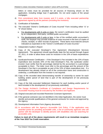letters or notes must be provided for all sources of financing shown on the application, including bridge loan if applicable. Do not send copies of the actual mortgages.

- 4) Firm commitment letter from investor and if it exists, a fully executed partnership agreement signed by all the partners (including the investors).
- 5) Certification of Subsidies.
- 6) The executed "Owner's Certification of Costs Incurred" Form including either "a" or b" shown below. The state of the state of the state of the state of the state of the state of the state of the state of the state of the state of the state of the state of the state of the state of the state of the state o
	- a. For developments with 6 units or more, the owner's certification must be audited by an independent, third party, certified public accountant.
	- b. For developments with 5 units or less, in lieu of the certified public accountant's audit, the taxpayer may provide evidence of costs incurred in the form of copies of checks, receipts, or other records of payment. These items must total the amount indicated as expended on the "Owner's Certification of Costs Incurred."
- 7) Independent Auditor's Report
- 8) Copy of the executed Developer's Fee Agreement (Development Services Agreement). The agreement should specifically state the fee earned through August 15, 2011, in order to allow these costs for inclusion in the 10% of basis expenditures test.
- 9) Syndicator/Investor Certification If the Developer's Fee included in the 10% of basis expenditure test exceeds 20% of the total Developer's Fee, the syndicator and/or investor must certify that the percentage claimed by the accountant is a percentage acceptable to them. The letter must refer to the percentage and the amount of the Developer's Fee that is acceptable as part of the 10% of basis expenditure test. If a development has already closed on all of the construction loans and construction is underway, a certification from the investor is not required.
- 10) Copy of the recorded deed demonstrating transfer of ownership to owner for each building and/or parcel of land that is part of the development (if not previously submitted).
- 11) Copy of the fully executed Settlement Statement for each building and/or parcel of land included in the development (if not previously submitted).
- 12) The Design Architect's Certificate of Compliance and Design Requirements for Accessible Housing must be executed by the Architect and Applicant.
- 13) Original executed and recorded Restrictive Covenant Agreement.
- 14) If the general contractor was not identified in the initial Application, the owner must identify and provide qualifications of the general contractor for review and approval by the Agency.
- 15) Development Information Form (Agency document).
- 16) In accordance with the Agency's Accessible Unit Policy, if the application was awarded points for providing accessible units, a list of community agencies who will partner with the developer to identify persons with disabilities who are searching for accessible units.

**Failure to meet all of the above requirements will result in an immediate recapture of the Year 2010 Tax Credit reservation.**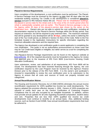# **Placed-in-Service Requirements**

Upon completion of the development, a cost certification must be performed. The Placedin-Service Package must be received by the Agency no later than 90 days after the last residential building receiving Tax Creditsin the development is considered **placed-in service** pursuant to IRS Advance Notice 88-116. Please note for rehabilitation buildings, the placed in service date for the rehab work is the close of the 24 month period when the rehab is substantially complete and not earlier. The Placed-in-Service package is due to the Agency within 90 days of the placed-in-service date shown by the owner on the certification form. Owners who are not able to submit the cost certification, including all documentation required by the Placed-in-Service Package within the 90-day period, may request an extension, but will be required to pay extension fees. The maximum extension that will be granted to any development will be **30 days**, unless the owner is deferring the start of the Tax Credit period, as defined in Section 42 (f)(1) of the Code. Refer to the Fee Schedule located in the Application Instructions for specific information regarding the maximum allowable extensions and the required fees.

The Agency has developed a cost certification guide to assist applicants in completing the cost certification. This guide is not an authoritative pronouncement on those costs that may be Tax Credit basis eligible or ineligible, but rather serves as a tool for completing the cost certification.

The Placed-in-Service Package requirements can be found on the Agency's website at [www.phfa.org](http://www.phfa.org). All of the required documents must be forwarded to the Agency for review and approval prior to the issuance of IRS Form 8609 (Low-Income Housing Credit Allocation Certification).

Upon submission, review, and satisfaction of all requirements, IRS Form 8609 will be issued. For developments that have received financing through the Agency, the cost certification required by the Loan Program must be received by the Agency's Finance Division prior to the release of the IRS Form 8609. It is the owner's and syndicator's (investor's) responsibility to review the cost certification prior to its submission to the Agency to ensure that all costs and sources of funds are properly included and categorized.

#### **Annual Recertification Waiver**

The Housing and Economic Recovery Act of 2008 (HERA) eliminates the annual income recertification requirement for 100% qualified low income tax credit developments. The Agency adopted this provision effective January 1, 2009. Owners of 100% properties are required to certify each year on the Owners Certification of Continuing Program Compliance that no unit was occupied by an ineligible household. In addition, owners must provide annual updates for all units regarding household composition, student status and rent. Properties that are less than 100% qualified low income tax credit developments must continue to recertify on an annual basis. Also, additional funding sources, such as Section 8 and HOME, have annual recertification requirements that must be adhered to.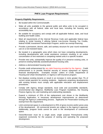# **PHFA Loan Program Requirements**

## **Property Eligibility Requirements**

- Be located within the Commonwealth.
- Make all units available to the general public and allow units to be occupied in  $\bullet$ accordance with all federal, state and local laws, including fair housing and accessibility laws.
- Be suitable for occupancy and comply with all applicable federal, state, and local  $\bullet$ building and health codes.
- Meet all requirements of the Internal Revenue Code and applicable federal laws  $\bullet$ relating to rental housing if utilizing federal Low-Income Housing Tax Credits, federal HOME Investment Partnerships Program, and/or tax exempt financing.
- Provide a permanent, decent, safe, and sanitary structure for year round residential  $\bullet$ use on a non-transient basis.
- Be located in a geographic area which does not have competing developments, including developments with rental assistance contracts resulting in an undue concentration of rent restricted or competing market units in a specific location.
- Provide new units, substantially improve the quality of or preserve existing units, or  $\bullet$ preserve existing federally assisted/subsidized housing units.
- Address a demonstrated housing need.  $\bullet$
- Provide credit enhancement for any debt financing provided by the Agency. Credit enhancement is to provide financial security to ensure repayment on Agency financed developments. Examples include: Letters of Credit, Department of Housing and Urban Development, or Agency's self-insurance program.
- Not displace existing tenants or result in an increase in rents greater than 7% of  $\bullet$ current rental payment for existing residents. Applicants proposing developments with existing tenants must comply with applicable relocation and displacement procedures. The contract of the contract of the contract of the contract of the contract of the contract of the contract of the contract of the contract of the contract of the contract of the contract of the contract of th
- Comply with Agency design standards, local code and accessibility standards, environmental due diligence, Multifamily Loan Program Guidelines, the Housing  $\bullet$ Finance Agency Act, and marketing and underwriting standards.
- Expend a minimum of 25% of the replacement cost shown in the Multifamily  $\bullet$ Housing Application, in necessary development improvements as determined through the Agency's underwriting process. Applicants for Preservation funding are exempt from this requirement.
- Limit commercial space in a development to 25% of gross income and/or gross area  $\bullet$ of the development. All commercial tenants are subject to the Agency's approval. Additionally, program funds cannot be used in the development of commercial space. The contract of the contract of the contract of the contract of the contract of the contract of the contract of the contract of the contract of the contract of the contract of the contract of the contract of the con
- Owner/Borrower must be a single asset, single purpose Pennsylvania entity organized exclusively for the purpose of owning and operating the proposed development.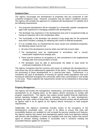# **Scattered Sites**

The Agency encourages the development of properties that are comprised of self contained contiguous units. However, exceptions may be made if conditions warrant. The Agency will consider the approval of a scattered site development if it satisfies all of the following requirements:

- The proposed development will be managed by a financially capable management  $\bullet$ agent with experience in managing scattered site developments.
- The developer has experience in the development area and is recognized locally as  $\bullet$ having an important role in the revitalization effort.
- The municipality or the developer has devised a long range plan for the proposed  $\bullet$ area which includes a strategy for obtaining site control of selected properties.
- If in an unstable area, as characterized by many vacant and vandalized properties,  $\bullet$ the following criteria must be met:
	- 1. All units of the development must be within one-half mile of each other.
	- 2. The development must be implemented in accordance with a current, measurable neighborhood strategic plan.
	- 3. There must be evidence of, acceptance of, and commitment to the neighborhood strategic plan from local providers of funds.
	- 4. The developer must be able to demonstrate the ability to raise funds for continued revitalization of the area.

The Agency recognizes that the concerns and issues of scattered site developments in rural areas may not be addressed by application of the above. The Agency will consider the processing of these developments on a case-by-case basis. Furthermore, it is sometimes the goal of developers of housing for special needs populations that such housing be disbursed throughout the community rather than concentrated in one facility or one area. These scattered site requirements should not be interpreted to discourage those goals.

# **Property Management**

The Agency will monitor the management, maintenance, and financial operations of the development on an ongoing basis, as the Agency deems necessary to comply with program requirements. The Agency may require annual audited financial statements, annual operating budgets, and quarterly operating reports for each development. Property site visits, review of tenant files, and annual financial reviews will be performed by Agency staff or by its agents as the Agency deems necessary to meet program requirements. The contract of the contract of the contract of the contract of the contract of the contract of the contract of the contract of the contract of the contract of the contract of the contract of the contract of

Additionally, the Agency's monitoring includes review of the occupancy of the development's accessible units. As part of its efforts to ensure that units with accessibility features are available for and occupied by persons needing such features, the Agency requires that owners and management agents notify local agencies working with persons with disabilities to market any available units and may require that owners agree to relocate existing residents in accessible units if someone needing the accessible features applies for occupancy.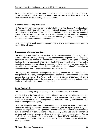In connection with the ongoing operation of the development, the Agency will require compliance with its policies and procedures, and with terms/conditions set forth in its loan documents and/or other regulatory documents.

## **Universal Accessibility Standards**

All Agency developments shall comply with Title III of the Fair Housing Amendments Act of 1988 Accessibility Guidelines; American National Standards Institute, ANSI A117.1; the Pennsylvania Uniform Construction Code; Uniform Federal Accessibility Standards  $($ "UFAS") as applies; Section 504 of the Rehabilitation Act of 1973, as amended; Americans with Disabilities Act Accessibility Guidelines ("ADAAG"); the Pennsylvania Universal Accessibility Standard; and Local Codes.

As a reminder, the most restrictive requirements of any of these regulations regarding accessibility will apply.

# **Preservation of Agricultural Land**

The Agency is committed to preservation of the Commonwealth's primary agricultural lands. Multifamily or single family housing developments proposed for certain priority agricultural lands as defined in Executive Order 2003-2 may not be eligible for Agency funding. Priority agricultural lands include lands that are currently in active non-timber agricultural use and that have been in such use for the preceding three years, lands that are subject to specific land use restrictions, and/or lands that are classified as unique or prime agricultural lands by applicable federal or state agencies.

The Agency will evaluate developments involving conversion of lands in these categories and may deny funding unless specific economic and environmental concerns support the conversion. The Agency will continue to actively encourage both single family and multifamily housing development in rural communities as long as the affected lands meet all applicable program funding criteria.

# **Equal Opportunity**

The equal opportunity policy adopted by the Board of the Agency is as follows:

It is the policy of the Pennsylvania Housing Finance Agency to actively encourage and ensure minority and female participation in the ownership, development, design, financing, construction, and management of multifamily housing developments that receive funding from this Agency.

To further this policy, the Agency will develop a technical assistance and outreach effort to increase minority and women's business enterprise ("M/WBE") participation in Agency financed developments. The Agency will provide technical assistance to development owners and their development teams on how to identify and include minority and female vendors and establish ongoing working relationships with these enterprises. Agency staff will also coordinate efforts with state and local M/WBE technical assistance providers and certification offices to apprise M/WBE firms of opportunities available from Agency programs.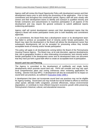Agency staff will review this Equal Opportunity Policy with development owners and their development teams prior to and during the processing of the application. Prior to loan commitment and throughout the construction period, Agency staff will work closely with owners and their development teams to identify and outreach to qualified minority and female contractors and subcontractors to maximize participation in all aspects of the development and may require the general contractor to submit additional reports evidencing participation.

Agency staff will remind development owners and their development teams that the Agency's Board will review participation levels prior to both feasibility and commitment approvals.

If, at commitment, the Board finds that a development owner or its development team has failed to achieve an acceptable level of minority and/or female participation, the Board may reject the development or the Board will advise the development owner that subsequent developments will not be accepted for processing unless they include acceptable levels of minority and/or female participation.

This policy will apply to all developments coming before the Board of the Pennsylvania Housing Finance Agency. The Board may, at its sole discretion, approve developments that, due to geographic location or other extenuating circumstances, lack minority and/or female participation if the development owner and its development team can document that they have put forth a good faith effort to create an acceptable level of participation.

# **Sound Land Use and Planning**

The Agency is committed to the development of multifamily and single family developments which promote sound land use. PHFA will consider and may rely upon local comprehensive plans and zoning ordinances when reviewing applications for funding. (Section 619.2(a) MPC) A development will also be evaluated for its impact on sound land use practices, as outlined in Executive Order 1999-1.

A development that does not incorporate sound land use practices may not be eligible for Agency funding. Sound land use may include but not be limited to efforts to minimize urban sprawl, alleviate traffic congestion, promote efficiencies, reduce environmental degradation, or contribute to more efficient long-term economic growth while preserving Pennsylvania's historical, cultural, and educational resources.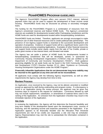# **PENNHOMES PROGRAM GUIDELINES**

The Agency's PennHOMES Program offers zero percent ("0%") interest, deferred payment loans that can be used to support the development of lower income rental housing. PennHOMES funds may be structured as primary or secondary mortgage loans.

The funding for the PennHOMES Program is a combination of resources from the Agency's unrestricted reserves and federal HOME funds. The Agency's unrestricted reserves are available for developments located within Participating Jurisdictions and the HOME funds are used for developments located within Nonparticipating Jurisdictions.

PennHOMES funds are limited. Therefore, applicants are strongly encouraged to make maximum use of other financial resources and to create public/private partnerships. The presence of non-Agency support funds is essential to the successful development and operation of properties. Evidence of support funds will be a significant factor used in the selection process among competing Applications. Examples of other financial resources and support funds include owner equity, equity from the sale of Tax Credits, private or public grant monies or low interest loans, and donated real estate.

The Agency has set aside a portion of HOME funds for developments located in Nonparticipating Jurisdictions that will be developed, owned, or sponsored by Community Housing Development Organizations ("CHDOs") that are certified by the Department of Community and Economic Development ("DCED"). HUD guidance governing eligibility for set aside funds can be found in the HUD Community Planning and Development ("CPD") Directive Number 97-11, titled, "Guidance on Community Housing Development Organizations under the HOME Program.

# **Financially infeasible Applications that do not demonstrate long term viability may be returned to the applicant at any time and will not be reconsidered.**

All applicants must comply with the following Agency requirements, as well as other requirements the Agency may develop from time to time.

# **Review Process**

An Application, once received by the Agency, may not be altered, amended or modified except as approved by staff during underwriting and program review. If a discrepancy is found in an Application during the review process, the applicant may be given five business days to respond to the request for clarification. Corrections allowed by staff may not include replacement, substitution, or amendment of material items used in the ranking of the Application. An omission from the Application Checklist may result in the immediate rejection of the Application.

# **Site Visits**

In reviewing the Application, the Agency will first determine the financial feasibility and long term viability of the development based upon the development costs, sources of financing, and the operating income and expenses presented in the Application. If an Application appears to be financially feasible and the Allocation Plan threshold requirements are met (if tax credits are requested), a site visit may be scheduled. Agency Representatives may visit the site to substantiate the information contained in the Application.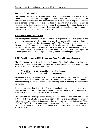# **Fees and Cost Limitations**

The Agency has developed a Development Cost Limits Schedule and a Fee Schedule. These schedules, included in the Application Instructions, are an applicant's quide for the fees and expenses that are normally incurred in developing a property. The fees and expenses outlined in these two schedules are the maximum amounts that may be included in the total development cost and, if applicable, the eligible basis of the development. Any cost, whether developmental or operational, that is deemed unreasonable may be adjusted by the Agency.

# **Rural Development Section 515**

For developments financed through the Rural Development Section 515 program, the Agency will recognize only those costs that have been approved by Rural Development (with the exception of the developer's fee). The Agency has entered into a Memorandum of Understanding with Rural Development regarding agreed upon procedures for processing developments involving both Rural Development funds and Tax Credits. These procedures will be applied when processing a Tax Credit request for a development with Rural Development funding and are available upon request.

# **USDA Rural Development 538 Guaranteed Rural Rental Housing Program**

The Guaranteed Rural Rental Housing Program ("RD 538") allows developers of affordable housing to get a loan guarantee for the debt used to finance a project. USDA Rural Development ("RD") can guarantee:

- Up to 90% of the loan amount for for-profit entities; and
- Up to 97% of the loan amount for non-profit entities.

In addition, in many circumstances RD can provide an "interest credit" that will buy down the interest rate on the loan, down to the Applicable Federal Rate. This can have the effect of lowering the development's annual operating costs by lowering the debt service payments. The contract of the contract of the contract of the contract of the contract of the contract of the contract of the contract of the contract of the contract of the contract of the contract of the contract of the

Rents cannot exceed 30% of 115% of the Area Median Income at initial occupancy, and units must be occupied by households that do not exceed this limit. Any rural area with a population of up to 20,000 is eligible for the program.

The Pennsylvania Housing Finance Agency ("PHFA") does not administer nor allocate RD 538. PHFA is a lender that has been approved by RD and has utilized this program in the past. If a developer is interested in this program they should first contact RD at (717) 237-2186. The developer can then meet with PHFA or another lender and work jointly on an application for RD 538 funds, which is completed by the lender and submitted to RD.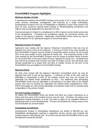# **PennHOMES Program Highlights**

# **Minimum Number of Units**

A development seeking PennHOMES funding must consist of 10 or more units that are under common ownership, management, and financing as a single undertaking. Developments located in the City of Philadelphia or Allegheny County must consist of at least 15 units, except for special needs housing. In Nonparticipating Jurisdictions, the Agency may accept applications for less than 10 units.

Commercial space is limited in a development to 25% of gross income and/or gross area of the development. Throughout the compliance period, all commercial tenants are subject to the Agency's approval. Additionally, PennHOMES funds cannot be used in the development or for operational support of commercial space.

# **Maximum Income of Tenants**

Applicants must comply with the Agency's Maximum Income/Rent Chart (as may be adjusted from time to time by the Agency). A minimum of 50% of the units assisted by the PennHOMES Program must be rented to households whose incomes do not exceed 50% of the area median income, adjusted for family size. The remaining number of the units assisted by the PennHOMES Program must be rented to families whose incomes do not exceed 60% of the area median income, adjusted for family size. Developments may still house residents with incomes over 60% of median income, but only those units serving households at or below 50% and 60% of median income for the term of the PennHOMES loan are eligible for PennHOMES funding.

# **Maximum Rents**

All rents must comply with the Agency's Maximum Income/Rent Chart (as may be adjusted from time to time by the Agency). A minimum of 50% of the units must be affordable to households at 50% of the median income and may not exceed the applicable Fair Market Rents established by HUD. Any additional units anticipating PennHOMES funds must be affordable to households at or below 60% of the median income and may not exceed the applicable Fair Market Rents established by HUD. PHFA encourages a 5-10% pricing advantage on proposed rental units to existing rental comparables in the primary market.

# **Per Unit Funding Limitations**

As stated, the PennHOMES funds are limited and there are certain restrictions as to where and how some of the funding sources may be used. Therefore, the Agency has established funding limitations on a per unit basis to allow for an equitable method of distributing funds to more developments. The per unit limitations for various areas of the Commonwealth are set forth below:

# **Participating Jurisdictions**

Developments located in Participating Jurisdictions are limited to \$30,000 per unit. Philadelphia developments requiring a supportive service escrow may increase the funding request to \$32,500 per unit. At no time may the total PennHOMES funds to one development exceed \$1,500,000.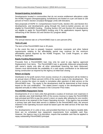# **Nonparticipating Jurisdictions**

Developments located in communities that do not receive entitlement allocations under the HOME Program (Nonparticipating Jurisdictions) are limited on a per unit basis to 100 percent of HUD's Section 221(d)(3) Mortgage Limits with Elevators.

New proposals of HOPE VI, Comprehensive Grant Funds, Section 202, and Section 811 developments, and developments going through the mark-to-market process are not eligible for PennHOMES funding. Existing Section 202 and Section 811 developments are eligible to apply for PennHOMES funding only if the applications request Agency refinancing of the Section 202 and Section 811 program debts.

# **Interest Rate**

The annual interest rate on a PennHOMES loan is zero percent (0%).

# **Term of Loan**

The term of the PennHOMES loan is 30 years.

In the event the loan is prepaid, however, restrictive covenants and other federal requirements relating to the affordability period may continue for the minimum affordability period required by the HOME Program, Tax Credit Program, or other funding, as applicable.

# **Equity Funding Requirements**

Proceeds from a PennHOMES loan may only be used to pay Agency approved Replacement Cost items. The PennHOMES loan is generally disbursed proportionally with owner's equity only after all other subordinate financing has been disbursed. Owners must demonstrate the availability of a cash equity contribution to be disbursed during construction as required by the Agency at initial loan closing.

# **Return on Equity**

Distribution to for-profit owners from excess revenue of a development will be limited to an annual return of fifteen percent (15%) of the owner's equity in the development. The right to receive the return on equity is cumulative after payment of debt service on the PennHOMES loan. The equity in the development shall be determined at final closing based on the cost certification. The stated owner's equity in the development may be adjusted annually to reflect increases in the Consumer Price Index.

# **PennHOMES Repayment Terms**

Developments of 12 or more units that generate a surplus of revenues over expenses in any calendar year shall distribute 50% of the excess revenue to repay the PennHOMES loan principal and 50% to pay the owner's return on equity after allowing for one months' debt service to be retained in the Project Operating Account. If the Agency has provided a primary loan with fixed debt service in addition to the PennHOMES loan, the amount retained in the Operating Account would be based upon the debt service of the loan that is greater.

For developments of 11 units or less, and provided that there is no Agency taxable debt, there are no scheduled loan repayment requirements from available cash flow. However, the Agency may in its discretion, require that available cash flow be applied to repay outstanding PennHOMES principal.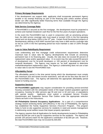# **Primary Mortgage Requirements**

If the development can support debt, applicants shall incorporate permanent Agency taxable or tax exempt financing as part of the financing plan unless another primary lender can offer significantly better financing terms than available through the Agency (as determined by the Agency).

# **Debt Service Coverage Ratio**

If PennHOMES is secured as the first mortgage, the development must be projected to achieve and maintain breakeven cash flow for the first five years of project operations.

In the event the PennHOMES loan is used in conjunction with an amortizing primary loan, the debt service coverage ratio must equal or exceed 115% in the first operating period and not drop below 100% in the 15<sup>th</sup> year. Certain Rural Development projects or developments utilizing a HUD MAP insured loan may have a debt service coverage ratio as low as 110% in the first operating period but must maintain a ratio of 100% through year 15.

# **Loan to Value Ratio/Equity Requirement**

Loan underwriting and first mortgage credit enhancement requirements determine maximum loan to value ratio for Agency developments that include an amortizing permanent loan in its financing plan. Usually, the ratio does not exceed 80 percent of replacement value and/or appraised value. In no event may the ratio exceed 90 percent of development cost for for-profit developers or 100 percent of development cost for nonprofit developers. The Agency may require an "as built" appraisal to determine market/development replacement value. The Agency's underwriting does not use a loan to value ratio to size the PennHOMES loan.

# **Affordability Period**

The affordability period is the time period during which the development must comply with maximum rent and tenant income restrictions, and will not be less than the term of the PennHOMES loan. The Agency will determine the appropriate affordability period based on funding sources.

# **Supportive Services**

**All PennHOMES applicants** may request consideration for providing service-enriched housing consistent with the anticipated needs of the target resident population (general occupancy, housing for older persons age 55 and over or 62 and over, or populations with special needs). Applicants must submit a completed Service Provider Questionnaire and Supportive Service Plan Outline under the appropriate selection criteria set forth in the Instructions.

**All Philadelphia General Occupancy Applications:** As a part of a comprehensive strategy toward achieving family self-sufficiency in the City of Philadelphia, the Agency has established the Family Supportive Services ("Escrow") Program. This program helps to fund on-site supportive services for residents in need and assists management in addressing social welfare issues that impact property operations.

The Agency requires that all Applications for family developments located in Philadelphia escrow \$5,000 per unit to pay for supportive services for the residents. The Agency will provide 100 percent match for the applicant s contribution of \$2,500 per unit. However, the total PennHOMES loan may not exceed \$1,500,000.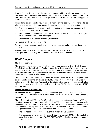Escrow funds will be used to hire staff or to contract with a service provider to provide residents with information and referrals to increase family self-sufficiency. Applicants must identify a qualified social service provider to facilitate the provision of supportive services to families.

Philadelphia developments may request a waiver of the escrow requirement. To be eligible for a waiver of this requirement, the applicant must submit the following:

- 1. A written request for a waiver and certification that approved services will be provided for a minimum of 15 years.
- 2. Memorandum of Understanding or contract that outlines the work plan, staffing (with job descriptions), and proposed budget.
- 3. Completed PHFA Service Provider Questionnaire.
- 4. Supportive Services Plan Outline.
- 5. Viable plan to secure funding to ensure uninterrupted delivery of services for ten years. The contract of the contract of the contract of the contract of the contract of the contract of the contract of the contract of the contract of the contract of the contract of the contract of the contract of the con

Please contact the Agency's Housing Services Representative at 610.270.1989 if you have questions concerning the escrow requirement or waiver process.

# **HOME Program**

# **Match Requirements**

The Agency must meet certain funding match requirements of the HOME Program. Non-federal public and private funds included in a development's financing plan will assist the Agency in meeting its HOME Program match requirements. HOME-assisted, HOME-eligible, and partially-assisted HOME Program developments will be reviewed to determine the amount of match contribution earned.

The Agency will use PennHOMES loans as match under the HOME Program. For developments receiving an award of HOME Program funds from a local jurisdiction, unless claimed by that local Participating Jurisdiction, the Agency will also use all other eligible sources of match contributed to the PennHOMES development as HOME Program match.

# **MBE/WBE/SERB and Section 3**

In addition to the Agency's equal opportunity policy, developments located in Nonparticipating Jurisdictions must also meet certain MBE/WBE/SERB and Section 3 requirements. The contract of the contract of the contract of the contract of the contract of the contract of the contract of the contract of the contract of the contract of the contract of the contract of the contract of

The definition of an MBE is a "certified minority business enterprise," and a WBE is a "certified women's business enterprise." A SERB is a "socially and economically restricted business" which is a certified MBE/WBE, or a business located in a Commonwealth designated enterprise zone. Businesses will not be considered socially/economically restricted if one of the following conditions exists:

The business has gross revenues over four million dollars annually; or

The concentration of an industry is such that fifty percent (50%) of the market is controlled by the same type of SERB ("MBE/WBE") or business within designated enterprise zones.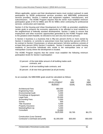Where applicable, owners and their development teams must conduct outreach to seek participation by SERB professional services providers and MBE/WBE professional services providers, Section 3 material and equipment suppliers, manufacturers, and subcontractors. The HOME Program requires that the owner must establish minimum participation goals of 5% for MBEs and 3% for WBEs when contracting for professional services, construction and materials.

Section 3 of the Housing and Urban Development Act of 1968, as amended, establishes certain goals to enhance the economic opportunity to be afforded to local residents in the neighborhood of federally assisted developments. Section 3 seeks to ensure that employment and other economic opportunities generated by the HOME Program shall, to the greatest extent feasible, be directed to low and very low-income persons.

A Section 3 business is a business that is fifty-one percent (51%) or more owned by Section 3 residents; or commits to subcontract more than twenty-five percent (25%) of its contract to Section 3 businesses; or whose permanent, full-time workforce consists of at least thirty percent (30%) Section 3 residents. Section 3 residents are public housing residents or low-income individuals who reside in the metropolitan area or non metropolitan County where the development is located.

The HOME Program requires that the owner must establish the following minimum participation levels for Section 3 participation:

- 10 percent of the total dollar amount of all building trades work contracts, and the contracts of the contracts of the contracts of the contracts of the contracts of the contracts of the contracts of the contracts of the contracts of the contracts of the contracts of the contracts of the
- 3 percent of all non-building trade contracts, and
- 30 percent of all new hires generated (at all job levels)

As an example, the MBE/WBE goals would be calculated as follows:

|                                                          | <b>TOTAL</b>        | 3%          | 5%          |
|----------------------------------------------------------|---------------------|-------------|-------------|
|                                                          | DEVELOPMENT         | <b>WBE</b>  | <b>MBE</b>  |
|                                                          | <b>BUDGET</b>       | <b>GOAL</b> | <b>GOAL</b> |
|                                                          |                     |             |             |
| <b>Architectural Fees</b>                                | \$50,000            |             |             |
|                                                          | 10,000              |             |             |
| Engineering Fees<br>Environmental Audit                  | 5,000               |             |             |
| Furnishings & Equipment<br>Legal Fees<br>Accounting Fees | 5,000               |             |             |
|                                                          | 20,000              |             |             |
|                                                          | 5,000               |             |             |
|                                                          | 500                 |             |             |
| Survey<br>Title Insurance                                |                     |             |             |
|                                                          | 5,000<br>5,000      |             |             |
| Property Insurance<br>Marketing/Rent-Up                  | 5,000               |             |             |
| Consultant                                               |                     |             |             |
|                                                          | 15,000<br>\$125,500 | \$3,765     | \$6,275     |
|                                                          |                     |             |             |
| <b>Construction (Less General</b>                        |                     |             |             |
| Contractor's overhead and profit)                        | \$1,000,000         | \$30,000    | \$50,000    |
|                                                          |                     |             |             |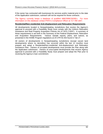If the owner has contracted with businesses for services and/or material prior to the date of the Application submission, outreach will not be required for those contracts.

## The Agency currently keeps a database of qualified MBE/WBE/SERB's. For more information on this database contact PHFA's Compliance Officer at 717-780-1847.

## **Residential/Non-residential Anti-displacement and Relocation Requirements**

All developments located in Nonparticipating Jurisdictions that receive the Agency s approval to proceed with a Feasibility Study must comply with the Uniform Relocation Assistance and Real Property Acquisition Policies Act of 1970 ("URA"). A summary of these requirements is set forth in the Summary of the Federal Displacement, Relocation<br>and Acquisition Requirements. Various sample reports, plans, and notices, as Various sample reports, plans, and notices, as presented in the HOME Program regulations at 24 CFR 92.353 found in Tab 27.

All owners of developments in Nonparticipating Jurisdictions (except vacant land developments where no demolition has occurred within the last 12 months) must prepare and adopt a Residential/Non-residential Anti-displacement and Relocation Assistance Plan. Owners of occupied developments must provide the Plan along with the Application submission. Owners of unoccupied developments that receive Agency approval to proceed with a Feasibility Study must prepare and adopt the Plan prior to receiving the Agency's loan commitment.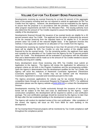# **VOLUME CAP FOR TAX EXEMPT BOND FINANCING**

Developments receiving tax exempt financing for at least 50 percent of the aggregate basis of the property including land are not required to submit an application for 9% Tax Credits from the Agency. However, the development must be evaluated by the Agency to assure that the proposal is in accordance with the priorities, Selection Criteria and other program requirements set forth in the Allocation Plan. The issuing authority must also determine the amount of Tax Credits required to assure the feasibility and long term viability of the development.

Developments financed through the issuance of tax exempt bonds are eligible for a 30 percent present value Tax Credit. The applicant has the option of deducting the amount of the tax exempt financing from the adjusted basis to be eligible for a 70 percent present value Tax Credit on the reduced eligible basis. If the applicant chooses this method, it must apply and compete for an allocation of Tax Credits from the Agency.

Developments receiving tax exempt financing on less than 50 percent of the aggregate basis will be eligible for 30% Tax Credits on only that portion of the eligible basis financed by the tax exempt bonds. For the remaining portion, the applicant must apply and compete for an allocation of Tax Credits from the Agency for the 70 percent present value Tax Credit. The development will be evaluated in accordance with the Allocation Plan and a determination will be made as to the amount of Tax Credits needed to assure feasibility and long term viability.

Every development (even those receiving only 30% Tax Credits) must submit an Application to the Agency. The Agency will review the Application for adherence to program criteria as set forth in the Program Guidelines and the accompanying exhibits. Upon the Agency's determination that the development qualifies for the Tax Credits, the Agency will issue the Indenture of Restrictive Covenants Agreement ("Restrictive Covenants Agreement"). Tax Credits may not be claimed until the Restrictive Covenants Agreement is executed and recorded pursuant to the Code.

The Agency processes applications for volume cap for tax exempt financing on a competitive basis through an announced Request for Proposals ("RFP"). For additional information please see the Agency website at [www.phfa.org](http://www.phfa.org) or contact the Development Division.

Developments receiving Tax Credits exclusively through the issuance of tax exempt bonds will be subject to the fees and costs as determined by the Agency. Upon construction completion, the development will be required to submit a cost certification package. The cost certification package should be received by the Agency no later than 90 days after the last residential building in the development is placed-in-service.

The Agency will conduct its standard review of the cost certification. After completion of this review, the Agency will issue an IRS Form 8609 for each building in the development.

All Tax Exempt Bond Financed projects will be monitored by Tax Credit compliance staff throughout the compliance period.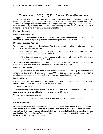# **TAXABLE AND 501(C)(3) TAX EXEMPT BOND FINANCING**

The Agency provides financing to developers building or rehabilitating rental units designed for lower income occupancy. Competitive financing rates are made possible through the sale of Agency tax exempt and taxable bonds. Mortgages provided through Agency bond proceeds must be secured by a priority lien position. Bond financing may be coupled with PennHOMES funds to help make the development financially feasible.

# **Program Highlights**

#### **MINIMUM NUMBER OF UNITS**

All Applications must consist of 15 or more units. The Agency may consider developments with less than 15 units if all Agency guidelines and financing requirements are met.

#### **MAXIMUM INCOME OF TENANTS**

When using either tax exempt financing or Tax Credits, one of the following minimum set-aside requirements must be implemented:

- 20% of the units must be rented to persons with incomes at or below 50% of the area median income, adjusted by family size; or
- 40% of the units must be rented to persons with incomes at or below 60% of the area median income, adjusted by family size.

When using taxable financing not involving Tax Credits, at least 20% of the units must be rented to households with incomes at or below 80% of the area median income.

#### **MINIMUM LOAN AMOUNT**

The suggested minimum loan amount for taxable financing is \$100,000; the minimum loan amount for tax exempt financing is \$2,000,000, unless there are a sufficient number of developments requesting tax exempt financing that may be pooled together.

#### **INTEREST RATES**

Interest rates will vary depending on market conditions. Please contact the Agency's Development Division for projected mortgage interest rates.

#### **AFFORDABILITY PERIOD**

All developments must remain rental housing meeting the low and moderate income tenancy requirement for the longer of the term of the mortgage or 30 years.

#### **TERM OF LOAN AND AMORTIZATION**

The maximum loan term will be 30 years for taxable and tax exempt bond financing.

#### **RETURN ON EQUITY**

Distribution to owners from excess revenue of a development will be limited to an annual return of 15% of the owner's equity in the development. The right to receive the return on equity is cumulative. The equity in the development shall be determined at final closing based on the cost certification. The stated owner's equity in the development may be adjusted annually to reflect increases in the Consumer Price Index.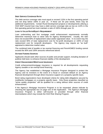# **DEBT SERVICE COVERAGE RATIO**

The debt service coverage ratio must equal or exceed 115% in the first operating period and not drop below 100% in year 15. If these are 30 year bonds, there may be additional requirements. Certain Rural Development projects or developments utilizing a HUD MAP insured loan may have a debt service coverage ratio as low as 110% in the first operating period but must maintain a ratio of 100% through year 15.

# **LOAN TO VALUE RATIO/EQUITY REQUIREMENT**

Loan underwriting and first mortgage credit enhancement requirements normally determine maximum loan to value ratio for Agency developments. Usually, the ratio does not exceed 80% of replacement value and/or appraised value. In no event may the ratio exceed 90% of total replacement cost for for-profit developers or 100% of total replacement cost for nonprofit developers. The Agency may require an "as built" appraisal to determine market value.

The combined total of taxable or tax exempt financing and PennHOMES funding cannot exceed the 90% and 100% amounts referenced above.

# **OUTSIDE FUNDING SOURCES**

Applicants should seek other sources of public and private support, including donation of publicly held land, to enhance financial viability of the development.

#### **CREDIT ENHANCEMENT/MORTGAGE INSURANCE**

Credit enhancement/mortgage insurance is required for all developments requesting Agency taxable or tax exempt bond financing.

The Agency has established a Mortgage Insurance Program designed to protect the Agency and its investors in the event of a fiscal or covenant default on an Agency financed development through direct insurance support on a property specific basis.

Bond rating organizations have developed criteria for rating debt obligations secured by multifamily mortgages on a property specific basis. Only those properties classified as "prime quality properties" will be qualified for a rating without other sources of credit enhancement. The contract of the contract of the contract of the contract of the contract of the contract of the contract of the contract of the contract of the contract of the contract of the contract of the contract of t

If the Agency's Mortgage Insurance Program is to be requested, please indicate by checking the appropriate box on page one of the Application. The Agency's Mortgage Insurance Program is either self-insured or provided through other financial intermediaries which may include the HUD Risk Sharing Program.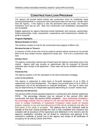# **CONSTRUCTION LOAN PROGRAM**

The Agency will provide below market rate construction loans for multifamily rental housing developments in conjunction with a permanent take-out loan from a lender other than the Agency. If the Agency is also the permanent take-out lender, the Program Guidelines must also be met. Both new construction and rehabilitation developments are acceptable.

Eligible applicants for Agency financing include individuals, joint ventures, partnerships, limited partnerships, trusts, corporations, cooperatives, and condominiums, whether for profit or nonprofit.

# **Program Highlights**

# **MINIMUM NUMBER OF UNITS**

The minimum number of units for the construction loan program is fifteen (15).

# **MAXIMUM INCOME OF TENANTS**

A minimum of 20% of the units must be rented to tenants whose incomes do not exceed 80% of the area median income, adjusted for family size. This is for a construction only loan.

# **INTEREST RATE**

The Agency construction interest rate is based upon the Agency's borrowing costs in the market. Agency staff may provide an approximate rate for purposes of financial estimates upon receipt of the application. Exact rates will not be available until the loan closing.

# **FINANCING FEE**

The Agency requires a 2% fee calculated on the total construction mortgage.

# **LOAN TO VALUE RATIO**

The Agency is authorized to make loans to for-profit developers of up to 90% of replacement cost of the development. The Agency may provide loans of up to 100% of replacement cost of the development to nonprofit developers. The loan to value ratio may be determined by an independent appraisal determining an "as built" market value.

# **CONSTRUCTION RETENTION**

Ten percent (10%) of each payment request for a construction item shall be retained by PHFA. The percentage retained may be reduced to five percent (5%) after construction has been fifty percent (50%) completed. Upon Substantial Completion, the percentage retained may be reduced to two and one-half percent (2.5%). In the event of multiple Certificates of Substantial Completion being issued for phased projects, reduction to two and one-half percent (2.5%) will be considered only after the final phase of the whole is accepted. The balance due to the contractor shall be payable at final loan closing provided the work is fully completed and contractor has complied with all provisions of the Agreement and Addendum to the Owner's and the Agency's satisfaction, including, but not limited to, submission and approval of the contractor's certificate of actual cost to the Agency and receipt of all certificates of occupancy for all units by Owner and PHFA.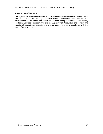#### **CONSTRUCTION MONITORING**

The Agency will monitor construction and will attend monthly construction conferences at the site. In addition, Agency Technical Services Representatives may visit the development site to review site activity at any time during construction. The Agency Technical Services Representative and the Agency Staff Accountant shall review and monitor all requisitions, payouts, and change orders to ensure compliance with the Agency's requirements.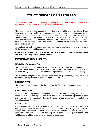# **EQUITY BRIDGE LOAN PROGRAM**

Currently the Agency is not offering an Equity Bridge Loan Program for the 2010 Application Funding round. Please check our website for updates.

The Agency has a limited amount of funds that are available to provide Equity Bridge Loan funds for certain multifamily properties which have short-term funding needs due to deferred equity pay-ins from investors in the Tax Credit Program may be available through the Agency. This program is available to new applications for Agency financing, developments which have received Agency feasibility approval or developments which have received a reservation of Tax Credits. Applications will be considered on a first come, first-serve basis.

Applications for an Equity Bridge Loan may be made at application or at any time up to 60 days prior to the initial loan/equity closing.

**Refer to the Bridge Loan Closing Indices for the Agency funded developments and Tax Credit only funded developments.**

# **PROGRAM HIGHLIGHTS**

# **MAXIMUM LOAN AMOUNTS**

The Equity Bridge Loan is limited to the amount necessary to fund the equity contribution to cover replacement costs (the "PHFA Cash Equity Requirement"). The Agency reserves the right to adjust the amount of the Equity Bridge Loan at initial loan closing.

The maximum Bridge Loan amount shall not exceed the greater of \$8,000,000 or 75% of the anticipated equity used to cover replacement costs.

# **INTEREST RATE**

Three month LIBOR plus 150 basis points (to be fixed by the Agency) at loan/equity closing.

# **REPAYMENT TERM**

Repayment of the equity bridge loan shall be concurrent with the equity investor pay-in schedule, or a period as agreed upon by all parties. In no event shall repayment exceed two years from initial loan/equity closing. The Equity Bridge Loan may not be rolled over into other Agency financing.

# **COLLATERAL**

Requirements will include a Demand Note (in a form and manner acceptable to the Agency which must provide fixed, unconditional payments and assignable to PHFA), Pledge and Assignment of each Investor/Limited Partner's interest in the project partnership, and mortgage against the property. In addition, the Agency reserves the right to require additional collateral on a case-by-case basis.